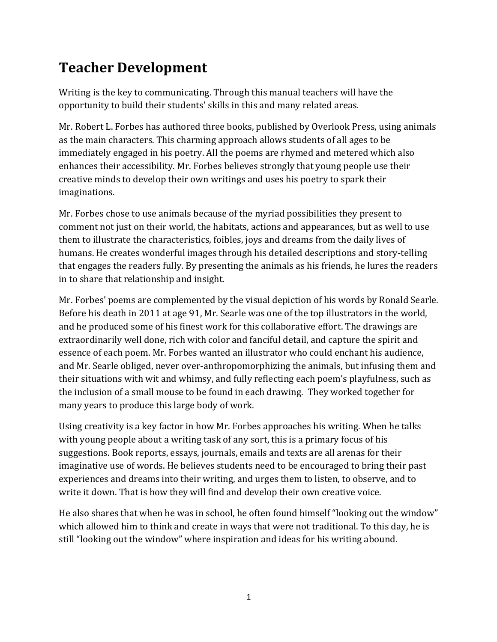# **Teacher Development**

Writing is the key to communicating. Through this manual teachers will have the opportunity to build their students' skills in this and many related areas.

Mr. Robert L. Forbes has authored three books, published by Overlook Press, using animals as the main characters. This charming approach allows students of all ages to be immediately engaged in his poetry. All the poems are rhymed and metered which also enhances their accessibility. Mr. Forbes believes strongly that young people use their creative minds to develop their own writings and uses his poetry to spark their imaginations. 

Mr. Forbes chose to use animals because of the myriad possibilities they present to comment not just on their world, the habitats, actions and appearances, but as well to use them to illustrate the characteristics, foibles, joys and dreams from the daily lives of humans. He creates wonderful images through his detailed descriptions and story-telling that engages the readers fully. By presenting the animals as his friends, he lures the readers in to share that relationship and insight.

Mr. Forbes' poems are complemented by the visual depiction of his words by Ronald Searle. Before his death in 2011 at age 91, Mr. Searle was one of the top illustrators in the world, and he produced some of his finest work for this collaborative effort. The drawings are extraordinarily well done, rich with color and fanciful detail, and capture the spirit and essence of each poem. Mr. Forbes wanted an illustrator who could enchant his audience, and Mr. Searle obliged, never over-anthropomorphizing the animals, but infusing them and their situations with wit and whimsy, and fully reflecting each poem's playfulness, such as the inclusion of a small mouse to be found in each drawing. They worked together for many years to produce this large body of work.

Using creativity is a key factor in how Mr. Forbes approaches his writing. When he talks with young people about a writing task of any sort, this is a primary focus of his suggestions. Book reports, essays, journals, emails and texts are all arenas for their imaginative use of words. He believes students need to be encouraged to bring their past experiences and dreams into their writing, and urges them to listen, to observe, and to write it down. That is how they will find and develop their own creative voice.

He also shares that when he was in school, he often found himself "looking out the window" which allowed him to think and create in ways that were not traditional. To this day, he is still "looking out the window" where inspiration and ideas for his writing abound.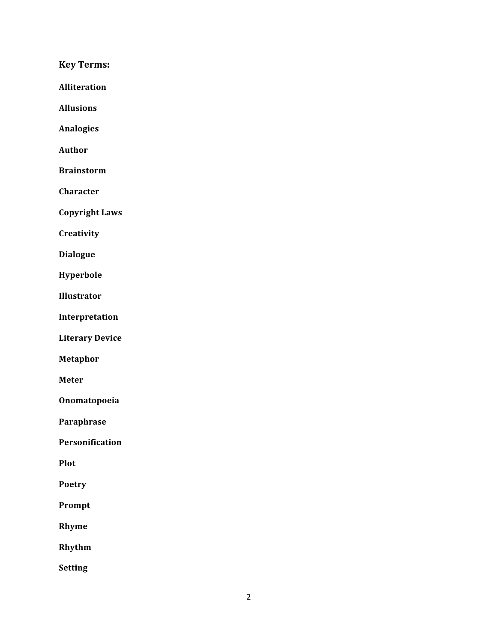**Key Terms:**

**Alliteration**

**Allusions**

**Analogies**

**Author**

**Brainstorm**

**Character**

**Copyright Laws**

**Creativity**

**Dialogue**

**Hyperbole**

**Illustrator**

**Interpretation**

**Literary Device**

**Metaphor**

**Meter**

**Onomatopoeia**

**Paraphrase**

**Personification**

**Plot**

**Poetry**

**Prompt**

**Rhyme**

**Rhythm**

**Setting**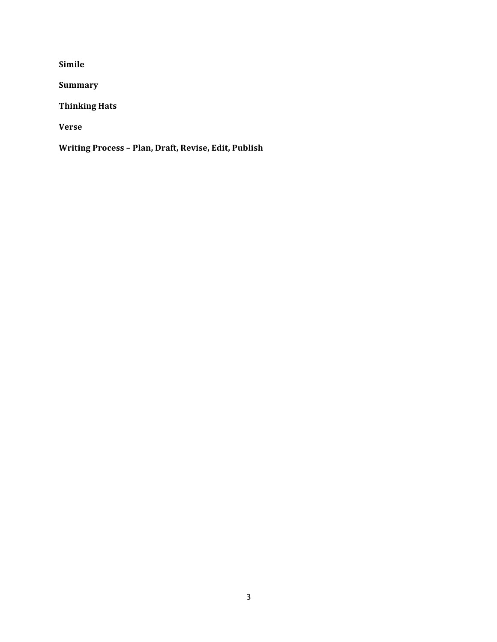**Simile**

**Summary**

**Thinking Hats**

**Verse**

**Writing Process – Plan, Draft, Revise, Edit, Publish**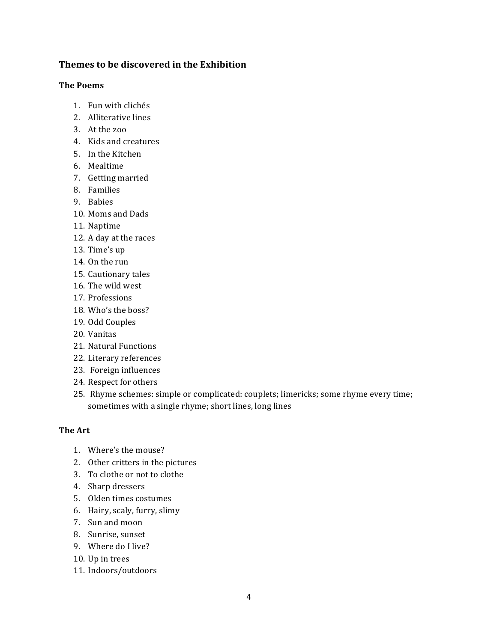#### **Themes to be discovered in the Exhibition**

#### **The Poems**

- 1. Fun with clichés
- 2. Alliterative lines
- 3. At the zoo
- 4. Kids and creatures
- 5. In the Kitchen
- 6. Mealtime
- 7. Getting married
- 8. Families
- 9. Babies
- 10. Moms and Dads
- 11. Naptime
- 12. A day at the races
- 13. Time's up
- 14. On the run
- 15. Cautionary tales
- 16. The wild west
- 17. Professions
- 18. Who's the boss?
- 19. Odd Couples
- 20. Vanitas
- 21. Natural Functions
- 22. Literary references
- 23. Foreign influences
- 24. Respect for others
- 25. Rhyme schemes: simple or complicated: couplets; limericks; some rhyme every time; sometimes with a single rhyme; short lines, long lines

#### **The Art**

- 1. Where's the mouse?
- 2. Other critters in the pictures
- 3. To clothe or not to clothe
- 4. Sharp dressers
- 5. Olden times costumes
- 6. Hairy, scaly, furry, slimy
- 7. Sun and moon
- 8. Sunrise, sunset
- 9. Where do I live?
- 10. Up in trees
- 11. Indoors/outdoors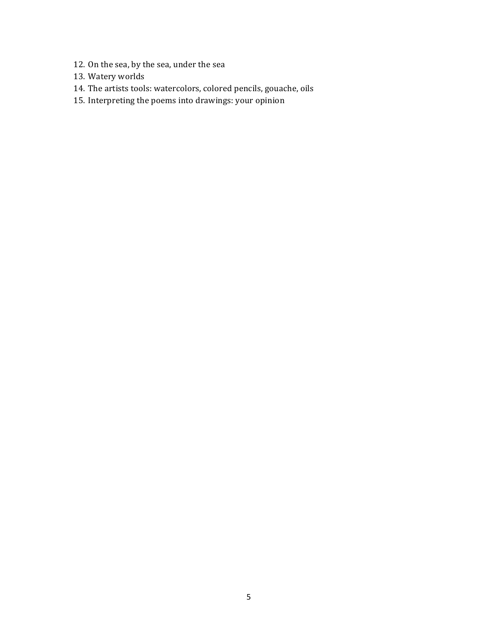- 12. On the sea, by the sea, under the sea
- 13. Watery worlds
- 14. The artists tools: watercolors, colored pencils, gouache, oils
- 15. Interpreting the poems into drawings: your opinion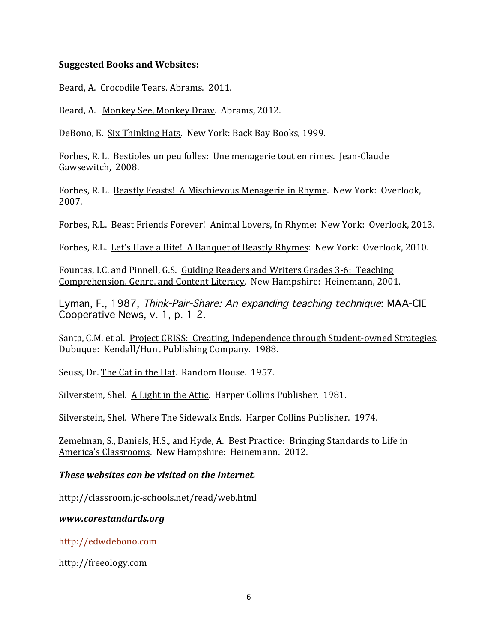#### **Suggested Books and Websites:**

Beard, A. Crocodile Tears. Abrams. 2011.

Beard, A. Monkey See, Monkey Draw. Abrams, 2012.

DeBono, E. Six Thinking Hats. New York: Back Bay Books, 1999.

Forbes, R. L. Bestioles un peu folles: Une menagerie tout en rimes. Jean-Claude Gawsewitch, 2008.

Forbes, R. L. Beastly Feasts! A Mischievous Menagerie in Rhyme. New York: Overlook, 2007.

Forbes, R.L. Beast Friends Forever! Animal Lovers, In Rhyme: New York: Overlook, 2013.

Forbes, R.L. Let's Have a Bite! A Banquet of Beastly Rhymes: New York: Overlook, 2010.

Fountas, I.C. and Pinnell, G.S. Guiding Readers and Writers Grades 3-6: Teaching Comprehension, Genre, and Content Literacy. New Hampshire: Heinemann, 2001.

Lyman, F., 1987, Think-Pair-Share: An expanding teaching technique: MAA-CIE Cooperative News, v. 1, p. 1-2.

Santa, C.M. et al. Project CRISS: Creating, Independence through Student-owned Strategies. Dubuque: Kendall/Hunt Publishing Company. 1988.

Seuss, Dr. The Cat in the Hat. Random House. 1957.

Silverstein, Shel. A Light in the Attic. Harper Collins Publisher. 1981.

Silverstein, Shel. Where The Sidewalk Ends. Harper Collins Publisher. 1974.

Zemelman, S., Daniels, H.S., and Hyde, A. Best Practice: Bringing Standards to Life in America's Classrooms. New Hampshire: Heinemann. 2012.

#### *These websites can be visited on the Internet.*

http://classroom.jc-schools.net/read/web.html

*www.corestandards.org*

http://edwdebono.com

http://freeology.com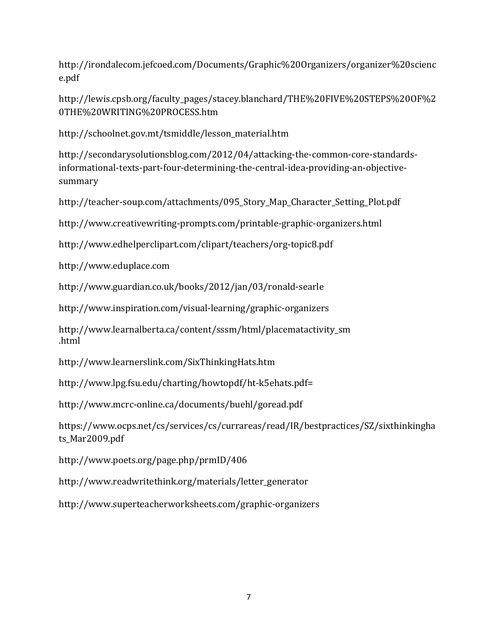http://irondalecom.jefcoed.com/Documents/Graphic%20Organizers/organizer%20scienc e.pdf

http://lewis.cpsb.org/faculty\_pages/stacey.blanchard/THE%20FIVE%20STEPS%20OF%2 0THE%20WRITING%20PROCESS.htm

http://schoolnet.gov.mt/tsmiddle/lesson\_material.htm

http://secondarysolutionsblog.com/2012/04/attacking-the-common-core-standardsinformational-texts-part-four-determining-the-central-idea-providing-an-objectivesummary

http://teacher-soup.com/attachments/095\_Story\_Map\_Character\_Setting\_Plot.pdf

http://www.creativewriting-prompts.com/printable-graphic-organizers.html

http://www.edhelperclipart.com/clipart/teachers/org-topic8.pdf

http://www.eduplace.com

http://www.guardian.co.uk/books/2012/jan/03/ronald-searle

http://www.inspiration.com/visual-learning/graphic-organizers

http://www.learnalberta.ca/content/sssm/html/placematactivity\_sm .html

http://www.learnerslink.com/SixThinkingHats.htm

http://www.lpg.fsu.edu/charting/howtopdf/ht-k5ehats.pdf=

http://www.mcrc-online.ca/documents/buehl/goread.pdf

https://www.ocps.net/cs/services/cs/currareas/read/IR/bestpractices/SZ/sixthinkingha ts Mar2009.pdf

http://www.poets.org/page.php/prmID/406

http://www.readwritethink.org/materials/letter\_generator

http://www.superteacherworksheets.com/graphic-organizers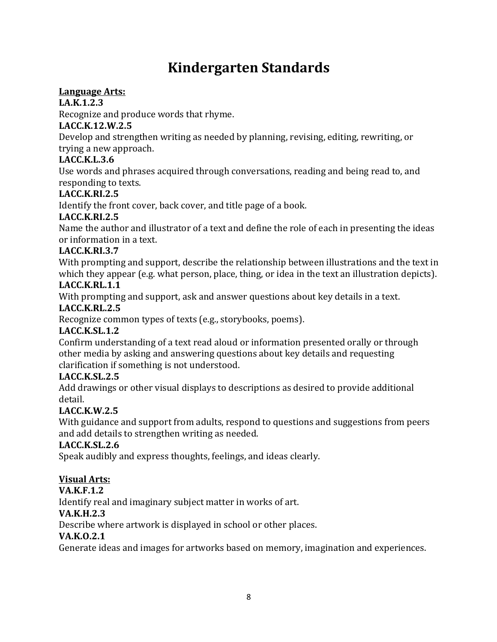# **Kindergarten Standards**

#### **Language Arts:**

#### **LA.K.1.2.3**

Recognize and produce words that rhyme.

#### **LACC.K.12.W.2.5**

Develop and strengthen writing as needed by planning, revising, editing, rewriting, or trying a new approach.

#### **LACC.K.L.3.6**

Use words and phrases acquired through conversations, reading and being read to, and responding to texts.

#### **LACC.K.RI.2.5**

Identify the front cover, back cover, and title page of a book.

#### **LACC.K.RI.2.5**

Name the author and illustrator of a text and define the role of each in presenting the ideas or information in a text.

#### **LACC.K.RI.3.7**

With prompting and support, describe the relationship between illustrations and the text in which they appear (e.g. what person, place, thing, or idea in the text an illustration depicts).

#### **LACC.K.RL.1.1**

With prompting and support, ask and answer questions about key details in a text.

#### **LACC.K.RL.2.5**

Recognize common types of texts (e.g., storybooks, poems).

#### **LACC.K.SL.1.2**

Confirm understanding of a text read aloud or information presented orally or through other media by asking and answering questions about key details and requesting clarification if something is not understood.

#### **LACC.K.SL.2.5**

Add drawings or other visual displays to descriptions as desired to provide additional detail.

#### **LACC.K.W.2.5**

With guidance and support from adults, respond to questions and suggestions from peers and add details to strengthen writing as needed.

#### **LACC.K.SL.2.6**

Speak audibly and express thoughts, feelings, and ideas clearly.

#### **Visual Arts:**

#### **VA.K.F.1.2**

Identify real and imaginary subject matter in works of art.

#### **VA.K.H.2.3**

Describe where artwork is displayed in school or other places.

#### **VA.K.O.2.1**

Generate ideas and images for artworks based on memory, imagination and experiences.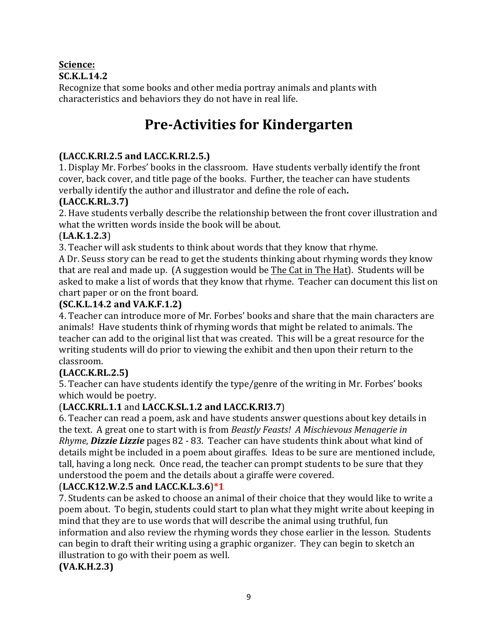#### **Science:**

#### **SC.K.L.14.2**

Recognize that some books and other media portray animals and plants with characteristics and behaviors they do not have in real life.

### **Pre-Activities for Kindergarten**

#### **(LACC.K.RI.2.5 and LACC.K.RI.2.5.)**

1. Display Mr. Forbes' books in the classroom. Have students verbally identify the front cover, back cover, and title page of the books. Further, the teacher can have students verbally identify the author and illustrator and define the role of each.

#### **(LACC.K.RL.3.7)**

2. Have students verbally describe the relationship between the front cover illustration and what the written words inside the book will be about.

#### (**LA.K.1.2.3**)

3. Teacher will ask students to think about words that they know that rhyme.

A Dr. Seuss story can be read to get the students thinking about rhyming words they know that are real and made up. (A suggestion would be The Cat in The Hat). Students will be asked to make a list of words that they know that rhyme. Teacher can document this list on chart paper or on the front board.

#### **(SC.K.L.14.2 and VA.K.F.1.2)**

4. Teacher can introduce more of Mr. Forbes' books and share that the main characters are animals! Have students think of rhyming words that might be related to animals. The teacher can add to the original list that was created. This will be a great resource for the writing students will do prior to viewing the exhibit and then upon their return to the classroom. 

#### **(LACC.K.RL.2.5)**

5. Teacher can have students identify the type/genre of the writing in Mr. Forbes' books which would be poetry.

#### (**LACC.KRL.1.1** and **LACC.K.SL.1.2 and LACC.K.RI3.7**)

6. Teacher can read a poem, ask and have students answer questions about key details in the text. A great one to start with is from *Beastly Feasts! A Mischievous Menagerie in Rhyme*, *Dizzie Lizzie* pages 82 - 83. Teacher can have students think about what kind of details might be included in a poem about giraffes. Ideas to be sure are mentioned include, tall, having a long neck. Once read, the teacher can prompt students to be sure that they understood the poem and the details about a giraffe were covered.

#### (**LACC.K12.W.2.5 and LACC.K.L.3.6**)**\*1**

7. Students can be asked to choose an animal of their choice that they would like to write a poem about. To begin, students could start to plan what they might write about keeping in mind that they are to use words that will describe the animal using truthful, fun information and also review the rhyming words they chose earlier in the lesson. Students can begin to draft their writing using a graphic organizer. They can begin to sketch an illustration to go with their poem as well.

**(VA.K.H.2.3)**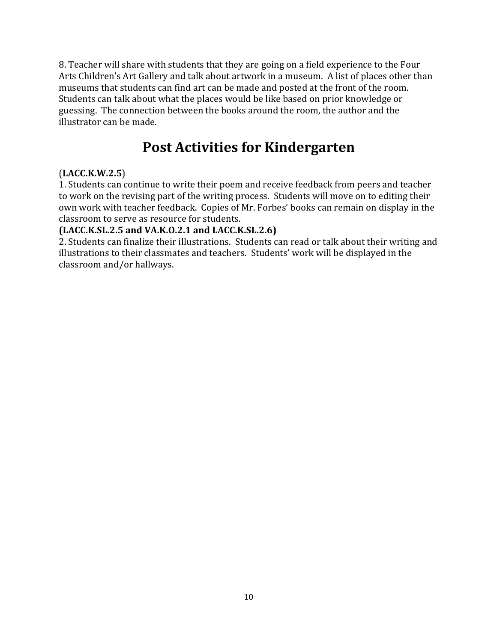8. Teacher will share with students that they are going on a field experience to the Four Arts Children's Art Gallery and talk about artwork in a museum. A list of places other than museums that students can find art can be made and posted at the front of the room. Students can talk about what the places would be like based on prior knowledge or guessing. The connection between the books around the room, the author and the illustrator can be made.

### **Post Activities for Kindergarten**

#### (**LACC.K.W.2.5**)

1. Students can continue to write their poem and receive feedback from peers and teacher to work on the revising part of the writing process. Students will move on to editing their own work with teacher feedback. Copies of Mr. Forbes' books can remain on display in the classroom to serve as resource for students.

#### **(LACC.K.SL.2.5 and VA.K.O.2.1 and LACC.K.SL.2.6)**

2. Students can finalize their illustrations. Students can read or talk about their writing and illustrations to their classmates and teachers. Students' work will be displayed in the classroom and/or hallways.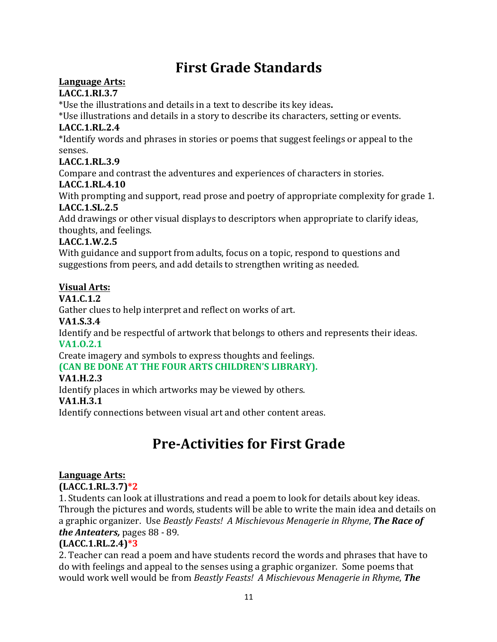# **First Grade Standards**

#### Language Arts:

#### **LACC.1.RI.3.7**

\*Use the illustrations and details in a text to describe its key ideas.

\*Use illustrations and details in a story to describe its characters, setting or events.

#### **LACC.1.RL.2.4**

\*Identify words and phrases in stories or poems that suggest feelings or appeal to the senses.

#### **LACC.1.RL.3.9**

Compare and contrast the adventures and experiences of characters in stories.

#### **LACC.1.RL.4.10**

With prompting and support, read prose and poetry of appropriate complexity for grade 1. **LACC.1.SL.2.5** 

Add drawings or other visual displays to descriptors when appropriate to clarify ideas, thoughts, and feelings.

#### **LACC.1.W.2.5**

With guidance and support from adults, focus on a topic, respond to questions and suggestions from peers, and add details to strengthen writing as needed.

#### **Visual Arts:**

#### **VA1.C.1.2**

Gather clues to help interpret and reflect on works of art.

#### **VA1.S.3.4**

Identify and be respectful of artwork that belongs to others and represents their ideas. **VA1.O.2.1** 

Create imagery and symbols to express thoughts and feelings.

#### **(CAN BE DONE AT THE FOUR ARTS CHILDREN'S LIBRARY).**

#### **VA1.H.2.3**

Identify places in which artworks may be viewed by others.

#### **VA1.H.3.1**

Identify connections between visual art and other content areas.

# **Pre-Activities for First Grade**

#### Language Arts:

#### **(LACC.1.RL.3.7)\*2**

1. Students can look at illustrations and read a poem to look for details about key ideas. Through the pictures and words, students will be able to write the main idea and details on a graphic organizer. Use *Beastly Feasts! A Mischievous Menagerie in Rhyme*, **The Race of** *the Anteaters, pages 88 - 89.* 

#### **(LACC.1.RL.2.4)\*3**

2. Teacher can read a poem and have students record the words and phrases that have to do with feelings and appeal to the senses using a graphic organizer. Some poems that would work well would be from *Beastly Feasts! A Mischievous Menagerie in Rhyme*, **The**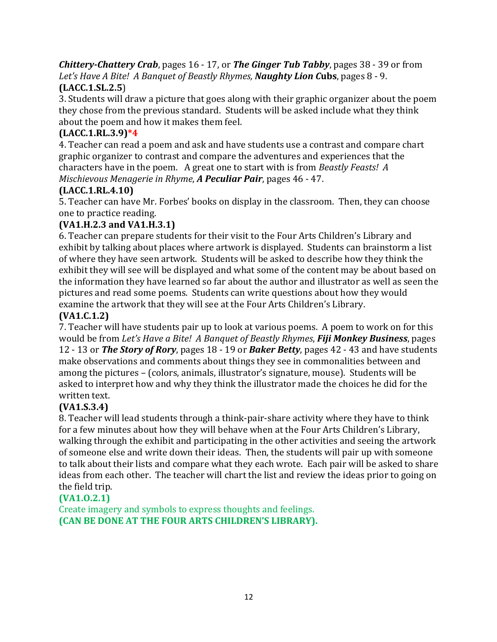*Chittery-Chattery Crab*, pages 16 - 17, or *The Ginger Tub Tabby*, pages 38 - 39 or from Let's Have A Bite! A Banquet of Beastly Rhymes, **Naughty Lion Cubs**, pages 8 - 9. **(LACC.1.SL.2.5**)

3. Students will draw a picture that goes along with their graphic organizer about the poem they chose from the previous standard. Students will be asked include what they think about the poem and how it makes them feel.

#### **(LACC.1.RL.3.9)\*4**

4. Teacher can read a poem and ask and have students use a contrast and compare chart graphic organizer to contrast and compare the adventures and experiences that the characters have in the poem. A great one to start with is from *Beastly Feasts! A Mischievous Menagerie in Rhyme, A Peculiar Pair, pages 46 - 47.* 

#### **(LACC.1.RL.4.10)**

5. Teacher can have Mr. Forbes' books on display in the classroom. Then, they can choose one to practice reading.

#### **(VA1.H.2.3 and VA1.H.3.1)**

6. Teacher can prepare students for their visit to the Four Arts Children's Library and exhibit by talking about places where artwork is displayed. Students can brainstorm a list of where they have seen artwork. Students will be asked to describe how they think the exhibit they will see will be displayed and what some of the content may be about based on the information they have learned so far about the author and illustrator as well as seen the pictures and read some poems. Students can write questions about how they would examine the artwork that they will see at the Four Arts Children's Library.

#### **(VA1.C.1.2)**

7. Teacher will have students pair up to look at various poems. A poem to work on for this would be from *Let's Have a Bite! A Banquet of Beastly Rhymes*, *Fiji Monkey Business*, pages 12 - 13 or **The Story of Rory**, pages 18 - 19 or **Baker Betty**, pages 42 - 43 and have students make observations and comments about things they see in commonalities between and among the pictures – (colors, animals, illustrator's signature, mouse). Students will be asked to interpret how and why they think the illustrator made the choices he did for the written text.

#### **(VA1.S.3.4)**

8. Teacher will lead students through a think-pair-share activity where they have to think for a few minutes about how they will behave when at the Four Arts Children's Library, walking through the exhibit and participating in the other activities and seeing the artwork of someone else and write down their ideas. Then, the students will pair up with someone to talk about their lists and compare what they each wrote. Each pair will be asked to share ideas from each other. The teacher will chart the list and review the ideas prior to going on the field trip.

#### **(VA1.O.2.1)**

Create imagery and symbols to express thoughts and feelings. **(CAN BE DONE AT THE FOUR ARTS CHILDREN'S LIBRARY).**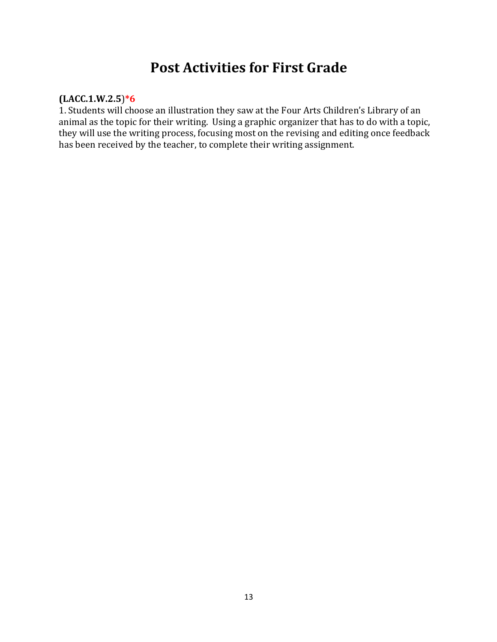### **Post Activities for First Grade**

#### **(LACC.1.W.2.5**)**\*6**

1. Students will choose an illustration they saw at the Four Arts Children's Library of an animal as the topic for their writing. Using a graphic organizer that has to do with a topic, they will use the writing process, focusing most on the revising and editing once feedback has been received by the teacher, to complete their writing assignment.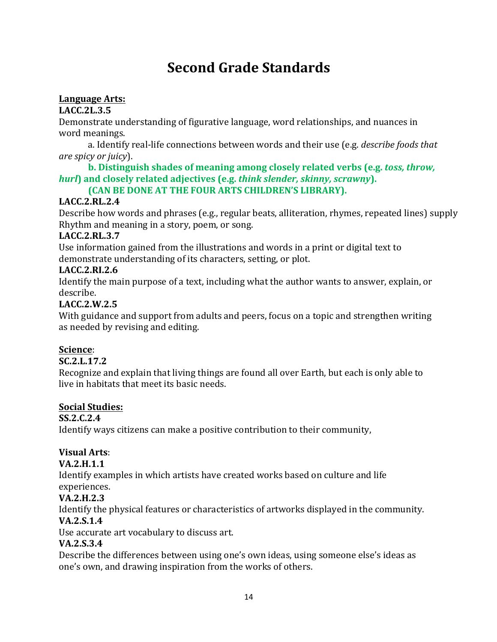# **Second Grade Standards**

#### Language Arts:

#### **LACC.2L.3.5**

Demonstrate understanding of figurative language, word relationships, and nuances in word meanings.

a. Identify real-life connections between words and their use (e.g. *describe foods that are spicy or juicy*).

#### **b.** Distinguish shades of meaning among closely related verbs (e.g. *toss, throw, hurl***)** and closely related adjectives (e.g. *think slender, skinny, scrawny*).

#### **(CAN BE DONE AT THE FOUR ARTS CHILDREN'S LIBRARY).**

#### **LACC.2.RL.2.4**

Describe how words and phrases (e.g., regular beats, alliteration, rhymes, repeated lines) supply Rhythm and meaning in a story, poem, or song.

#### **LACC.2.RL.3.7**

Use information gained from the illustrations and words in a print or digital text to demonstrate understanding of its characters, setting, or plot.

#### **LACC.2.RI.2.6**

Identify the main purpose of a text, including what the author wants to answer, explain, or describe. 

#### **LACC.2.W.2.5**

With guidance and support from adults and peers, focus on a topic and strengthen writing as needed by revising and editing.

#### **Science**:

#### **SC.2.L.17.2**

Recognize and explain that living things are found all over Earth, but each is only able to live in habitats that meet its basic needs.

#### **Social Studies:**

#### **SS.2.C.2.4**

Identify ways citizens can make a positive contribution to their community,

### **Visual Arts**:

#### **VA.2.H.1.1**

Identify examples in which artists have created works based on culture and life experiences.

#### **VA.2.H.2.3**

Identify the physical features or characteristics of artworks displayed in the community.

### **VA.2.S.1.4**

Use accurate art vocabulary to discuss art.

#### **VA.2.S.3.4**

Describe the differences between using one's own ideas, using someone else's ideas as one's own, and drawing inspiration from the works of others.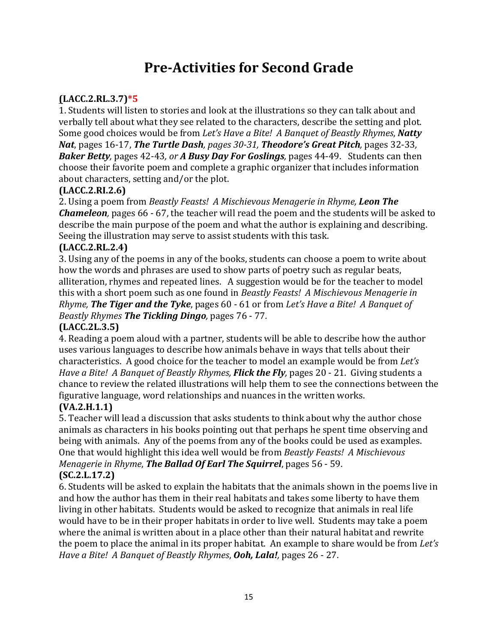## **Pre-Activities for Second Grade**

#### **(LACC.2.RL.3.7)\*5**

1. Students will listen to stories and look at the illustrations so they can talk about and verbally tell about what they see related to the characters, describe the setting and plot. Some good choices would be from *Let's Have a Bite! A Banquet of Beastly Rhymes*, *Natty Nat,* pages 16-17, *The Turtle Dash, pages 30-31, Theodore's Great Pitch, pages 32-33,* **Baker Betty**, pages 42-43, or **A Busy Day For Goslings**, pages 44-49. Students can then choose their favorite poem and complete a graphic organizer that includes information about characters, setting and/or the plot.

#### **(LACC.2.RI.2.6)**

2. Using a poem from *Beastly Feasts! A Mischievous Menagerie in Rhyme, Leon The Chameleon*, pages 66 - 67, the teacher will read the poem and the students will be asked to describe the main purpose of the poem and what the author is explaining and describing. Seeing the illustration may serve to assist students with this task.

#### **(LACC.2.RL.2.4)**

3. Using any of the poems in any of the books, students can choose a poem to write about how the words and phrases are used to show parts of poetry such as regular beats, alliteration, rhymes and repeated lines. A suggestion would be for the teacher to model this with a short poem such as one found in *Beastly Feasts! A Mischievous Menagerie in Rhyme, The Tiger and the Tyke, pages* 60 - 61 or from *Let's Have a Bite! A Banquet of Beastly Rhymes The Tickling Dingo,* pages 76 - 77*.*

#### **(LACC.2L.3.5)**

4. Reading a poem aloud with a partner, students will be able to describe how the author uses various languages to describe how animals behave in ways that tells about their characteristics. A good choice for the teacher to model an example would be from *Let's Have* a *Bite!* A *Banquet of Beastly Rhymes, Flick the Fly*, pages 20 - 21. Giving students a chance to review the related illustrations will help them to see the connections between the figurative language, word relationships and nuances in the written works.

#### **(VA.2.H.1.1)**

5. Teacher will lead a discussion that asks students to think about why the author chose animals as characters in his books pointing out that perhaps he spent time observing and being with animals. Any of the poems from any of the books could be used as examples. One that would highlight this idea well would be from *Beastly Feasts! A Mischievous Menagerie in Rhyme*, **The Ballad Of Earl The Squirrel**, pages 56 - 59.

#### **(SC.2.L.17.2)**

6. Students will be asked to explain the habitats that the animals shown in the poems live in and how the author has them in their real habitats and takes some liberty to have them living in other habitats. Students would be asked to recognize that animals in real life would have to be in their proper habitats in order to live well. Students may take a poem where the animal is written about in a place other than their natural habitat and rewrite the poem to place the animal in its proper habitat. An example to share would be from *Let's Have a Bite! A Banquet of Beastly Rhymes, Ooh, Lala!, pages 26 - 27.*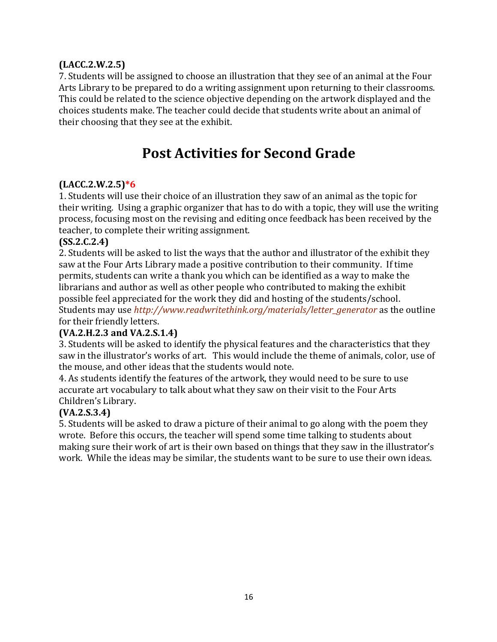#### **(LACC.2.W.2.5)**

7. Students will be assigned to choose an illustration that they see of an animal at the Four Arts Library to be prepared to do a writing assignment upon returning to their classrooms. This could be related to the science objective depending on the artwork displayed and the choices students make. The teacher could decide that students write about an animal of their choosing that they see at the exhibit.

### **Post Activities for Second Grade**

#### **(LACC.2.W.2.5)\*6**

1. Students will use their choice of an illustration they saw of an animal as the topic for their writing. Using a graphic organizer that has to do with a topic, they will use the writing process, focusing most on the revising and editing once feedback has been received by the teacher, to complete their writing assignment.

#### **(SS.2.C.2.4)**

2. Students will be asked to list the ways that the author and illustrator of the exhibit they saw at the Four Arts Library made a positive contribution to their community. If time permits, students can write a thank you which can be identified as a way to make the librarians and author as well as other people who contributed to making the exhibit possible feel appreciated for the work they did and hosting of the students/school. Students may use *http://www.readwritethink.org/materials/letter generator* as the outline for their friendly letters.

#### **(VA.2.H.2.3 and VA.2.S.1.4)**

3. Students will be asked to identify the physical features and the characteristics that they saw in the illustrator's works of art. This would include the theme of animals, color, use of the mouse, and other ideas that the students would note.

4. As students identify the features of the artwork, they would need to be sure to use accurate art vocabulary to talk about what they saw on their visit to the Four Arts Children's Library.

#### **(VA.2.S.3.4)**

5. Students will be asked to draw a picture of their animal to go along with the poem they wrote. Before this occurs, the teacher will spend some time talking to students about making sure their work of art is their own based on things that they saw in the illustrator's work. While the ideas may be similar, the students want to be sure to use their own ideas.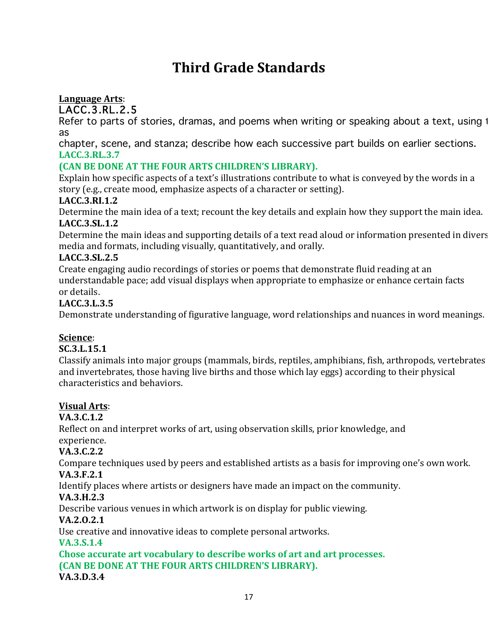# **Third Grade Standards**

### Language Arts:

LACC.3.RL.2.5

Refer to parts of stories, dramas, and poems when writing or speaking about a text, using 1 as

chapter, scene, and stanza; describe how each successive part builds on earlier sections. **LACC.3.RL.3.7**

#### **(CAN BE DONE AT THE FOUR ARTS CHILDREN'S LIBRARY).**

Explain how specific aspects of a text's illustrations contribute to what is conveyed by the words in a story (e.g., create mood, emphasize aspects of a character or setting).

#### **LACC.3.RI.1.2**

Determine the main idea of a text; recount the key details and explain how they support the main idea. **LACC.3.SL.1.2** 

Determine the main ideas and supporting details of a text read aloud or information presented in divers media and formats, including visually, quantitatively, and orally.

#### **LACC.3.SL.2.5**

Create engaging audio recordings of stories or poems that demonstrate fluid reading at an understandable pace; add visual displays when appropriate to emphasize or enhance certain facts or details.

#### **LACC.3.L.3.5**

Demonstrate understanding of figurative language, word relationships and nuances in word meanings.

#### **Science**:

#### **SC.3.L.15.1**

Classify animals into major groups (mammals, birds, reptiles, amphibians, fish, arthropods, vertebrates and invertebrates, those having live births and those which lay eggs) according to their physical characteristics and behaviors.

#### **Visual Arts**:

#### **VA.3.C.1.2**

Reflect on and interpret works of art, using observation skills, prior knowledge, and experience.

#### **VA.3.C.2.2**

Compare techniques used by peers and established artists as a basis for improving one's own work. **VA.3.F.2.1**

Identify places where artists or designers have made an impact on the community.

#### **VA.3.H.2.3**

Describe various venues in which artwork is on display for public viewing.

#### **VA.2.O.2.1**

Use creative and innovative ideas to complete personal artworks.

#### **VA.3.S.1.4**

**Chose accurate art vocabulary to describe works of art and art processes. (CAN BE DONE AT THE FOUR ARTS CHILDREN'S LIBRARY). VA.3.D.3.4**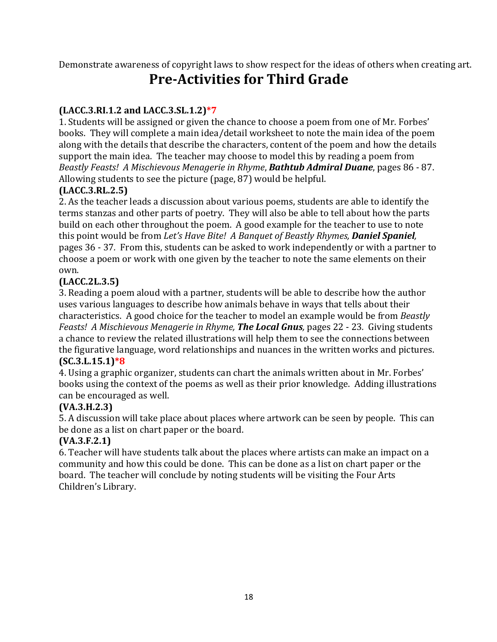Demonstrate awareness of copyright laws to show respect for the ideas of others when creating art.

### **Pre-Activities for Third Grade**

#### $(LACC.3.RI.1.2 and LACC.3.SL.1.2)*7$

1. Students will be assigned or given the chance to choose a poem from one of Mr. Forbes' books. They will complete a main idea/detail worksheet to note the main idea of the poem along with the details that describe the characters, content of the poem and how the details support the main idea. The teacher may choose to model this by reading a poem from *Beastly Feasts! A Mischievous Menagerie in Rhyme*, *Bathtub Admiral Duane*, pages 86 - 87. Allowing students to see the picture (page, 87) would be helpful.

#### **(LACC.3.RL.2.5)**

2. As the teacher leads a discussion about various poems, students are able to identify the terms stanzas and other parts of poetry. They will also be able to tell about how the parts build on each other throughout the poem. A good example for the teacher to use to note this point would be from Let's Have Bite! A Banquet of Beastly Rhymes, **Daniel Spaniel**, pages 36 - 37. From this, students can be asked to work independently or with a partner to choose a poem or work with one given by the teacher to note the same elements on their own. 

#### **(LACC.2L.3.5)**

3. Reading a poem aloud with a partner, students will be able to describe how the author uses various languages to describe how animals behave in ways that tells about their characteristics. A good choice for the teacher to model an example would be from *Beastly Feasts! A Mischievous Menagerie in Rhyme, The Local Gnus, pages 22 - 23. Giving students* a chance to review the related illustrations will help them to see the connections between the figurative language, word relationships and nuances in the written works and pictures. **(SC.3.L.15.1)\*8**

4. Using a graphic organizer, students can chart the animals written about in Mr. Forbes' books using the context of the poems as well as their prior knowledge. Adding illustrations can be encouraged as well.

#### **(VA.3.H.2.3)**

5. A discussion will take place about places where artwork can be seen by people. This can be done as a list on chart paper or the board.

#### **(VA.3.F.2.1)**

6. Teacher will have students talk about the places where artists can make an impact on a community and how this could be done. This can be done as a list on chart paper or the board. The teacher will conclude by noting students will be visiting the Four Arts Children's Library.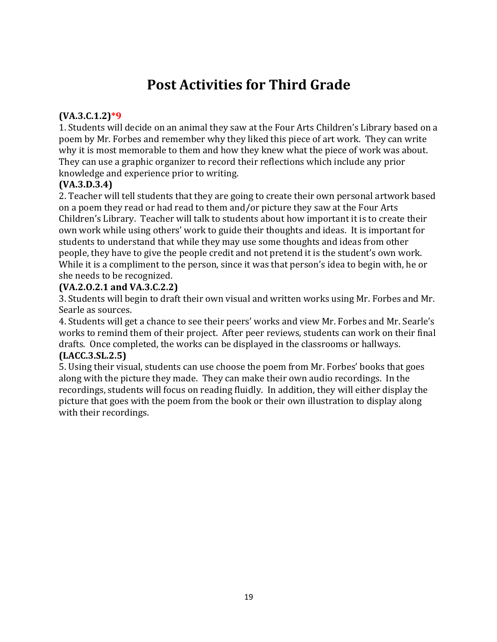## **Post Activities for Third Grade**

#### **(VA.3.C.1.2)\*9**

1. Students will decide on an animal they saw at the Four Arts Children's Library based on a poem by Mr. Forbes and remember why they liked this piece of art work. They can write why it is most memorable to them and how they knew what the piece of work was about. They can use a graphic organizer to record their reflections which include any prior knowledge and experience prior to writing.

#### **(VA.3.D.3.4)**

2. Teacher will tell students that they are going to create their own personal artwork based on a poem they read or had read to them and/or picture they saw at the Four Arts Children's Library. Teacher will talk to students about how important it is to create their own work while using others' work to guide their thoughts and ideas. It is important for students to understand that while they may use some thoughts and ideas from other people, they have to give the people credit and not pretend it is the student's own work. While it is a compliment to the person, since it was that person's idea to begin with, he or she needs to be recognized.

#### **(VA.2.O.2.1 and VA.3.C.2.2)**

3. Students will begin to draft their own visual and written works using Mr. Forbes and Mr. Searle as sources.

4. Students will get a chance to see their peers' works and view Mr. Forbes and Mr. Searle's works to remind them of their project. After peer reviews, students can work on their final drafts. Once completed, the works can be displayed in the classrooms or hallways.

#### **(LACC.3.SL.2.5)**

5. Using their visual, students can use choose the poem from Mr. Forbes' books that goes along with the picture they made. They can make their own audio recordings. In the recordings, students will focus on reading fluidly. In addition, they will either display the picture that goes with the poem from the book or their own illustration to display along with their recordings.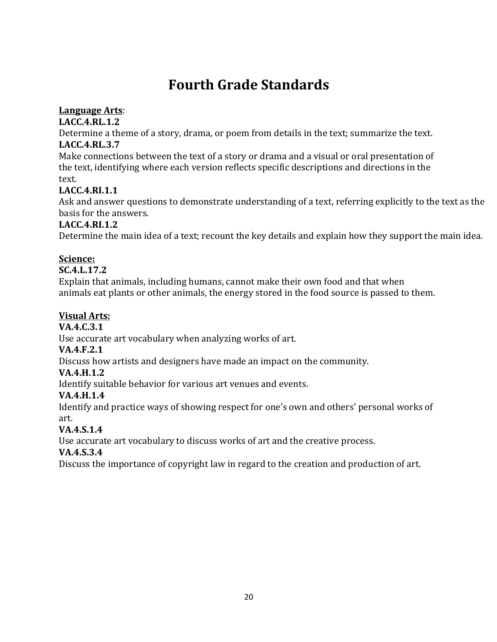# **Fourth Grade Standards**

#### **Language Arts:**

#### **LACC.4.RL.1.2**

Determine a theme of a story, drama, or poem from details in the text; summarize the text. **LACC.4.RL.3.7** 

Make connections between the text of a story or drama and a visual or oral presentation of the text, identifying where each version reflects specific descriptions and directions in the text. 

#### **LACC.4.RI.1.1**

Ask and answer questions to demonstrate understanding of a text, referring explicitly to the text as the basis for the answers.

#### **LACC.4.RI.1.2**

Determine the main idea of a text; recount the key details and explain how they support the main idea.

#### **Science:**

#### **SC.4.L.17.2**

Explain that animals, including humans, cannot make their own food and that when animals eat plants or other animals, the energy stored in the food source is passed to them.

#### **Visual Arts:**

#### **VA.4.C.3.1**

Use accurate art vocabulary when analyzing works of art.

#### **VA.4.F.2.1**

Discuss how artists and designers have made an impact on the community.

#### **VA.4.H.1.2**

Identify suitable behavior for various art venues and events.

#### **VA.4.H.1.4**

Identify and practice ways of showing respect for one's own and others' personal works of art.

#### **VA.4.S.1.4**

Use accurate art vocabulary to discuss works of art and the creative process.

#### **VA.4.S.3.4**

Discuss the importance of copyright law in regard to the creation and production of art.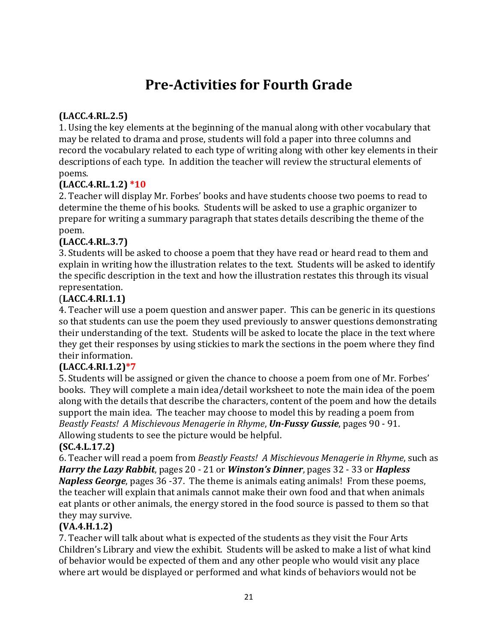# **Pre-Activities for Fourth Grade**

#### **(LACC.4.RL.2.5)**

1. Using the key elements at the beginning of the manual along with other vocabulary that may be related to drama and prose, students will fold a paper into three columns and record the vocabulary related to each type of writing along with other key elements in their descriptions of each type. In addition the teacher will review the structural elements of poems.

#### **(LACC.4.RL.1.2) \*10**

2. Teacher will display Mr. Forbes' books and have students choose two poems to read to determine the theme of his books. Students will be asked to use a graphic organizer to prepare for writing a summary paragraph that states details describing the theme of the poem. 

#### **(LACC.4.RL.3.7)**

3. Students will be asked to choose a poem that they have read or heard read to them and explain in writing how the illustration relates to the text. Students will be asked to identify the specific description in the text and how the illustration restates this through its visual representation. 

#### (**LACC.4.RI.1.1)**

4. Teacher will use a poem question and answer paper. This can be generic in its questions so that students can use the poem they used previously to answer questions demonstrating their understanding of the text. Students will be asked to locate the place in the text where they get their responses by using stickies to mark the sections in the poem where they find their information.

#### **(LACC.4.RI.1.2)\*7**

5. Students will be assigned or given the chance to choose a poem from one of Mr. Forbes' books. They will complete a main idea/detail worksheet to note the main idea of the poem along with the details that describe the characters, content of the poem and how the details support the main idea. The teacher may choose to model this by reading a poem from *Beastly Feasts! A Mischievous Menagerie in Rhyme, Un-Fussy Gussie, pages 90 - 91.* Allowing students to see the picture would be helpful.

#### **(SC.4.L.17.2)**

6. Teacher will read a poem from *Beastly Feasts! A Mischievous Menagerie in Rhyme*, such as *Harry the Lazy Rabbit, pages* 20 - 21 or *Winston's Dinner, pages* 32 - 33 or *Hapless Napless George*, pages 36 -37. The theme is animals eating animals! From these poems, the teacher will explain that animals cannot make their own food and that when animals eat plants or other animals, the energy stored in the food source is passed to them so that they may survive.

#### **(VA.4.H.1.2)**

7. Teacher will talk about what is expected of the students as they visit the Four Arts Children's Library and view the exhibit. Students will be asked to make a list of what kind of behavior would be expected of them and any other people who would visit any place where art would be displayed or performed and what kinds of behaviors would not be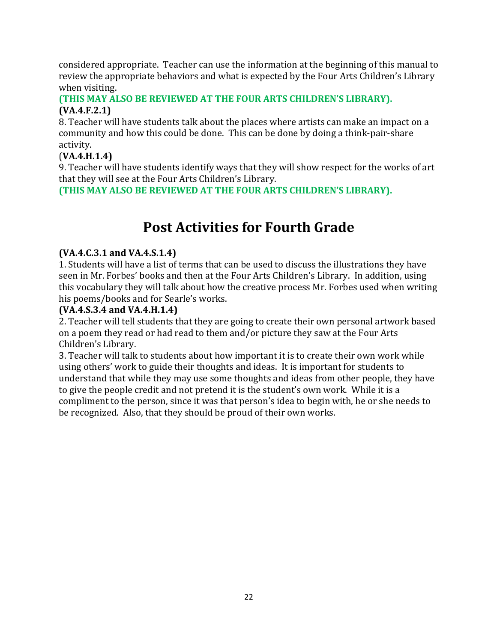considered appropriate. Teacher can use the information at the beginning of this manual to review the appropriate behaviors and what is expected by the Four Arts Children's Library when visiting.

#### **(THIS MAY ALSO BE REVIEWED AT THE FOUR ARTS CHILDREN'S LIBRARY). (VA.4.F.2.1)**

8. Teacher will have students talk about the places where artists can make an impact on a community and how this could be done. This can be done by doing a think-pair-share activity.

#### (**VA.4.H.1.4)**

9. Teacher will have students identify ways that they will show respect for the works of art that they will see at the Four Arts Children's Library.

**(THIS MAY ALSO BE REVIEWED AT THE FOUR ARTS CHILDREN'S LIBRARY).** 

# **Post Activities for Fourth Grade**

#### **(VA.4.C.3.1 and VA.4.S.1.4)**

1. Students will have a list of terms that can be used to discuss the illustrations they have seen in Mr. Forbes' books and then at the Four Arts Children's Library. In addition, using this vocabulary they will talk about how the creative process Mr. Forbes used when writing his poems/books and for Searle's works.

#### **(VA.4.S.3.4 and VA.4.H.1.4)**

2. Teacher will tell students that they are going to create their own personal artwork based on a poem they read or had read to them and/or picture they saw at the Four Arts Children's Library.

3. Teacher will talk to students about how important it is to create their own work while using others' work to guide their thoughts and ideas. It is important for students to understand that while they may use some thoughts and ideas from other people, they have to give the people credit and not pretend it is the student's own work. While it is a compliment to the person, since it was that person's idea to begin with, he or she needs to be recognized. Also, that they should be proud of their own works.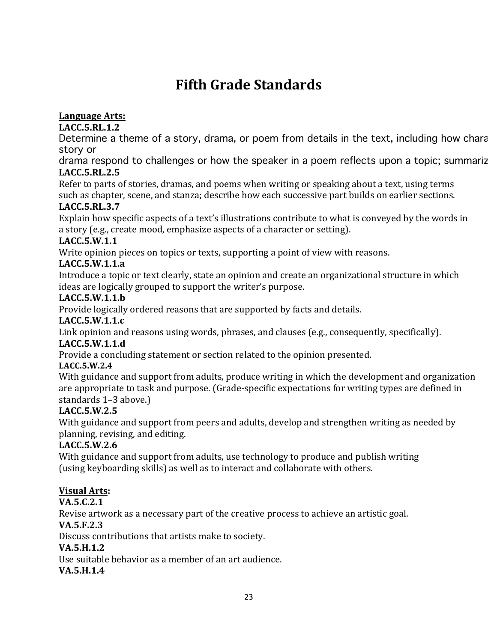# **Fifth Grade Standards**

#### Language Arts:

**LACC.5.RL.1.2** 

Determine a theme of a story, drama, or poem from details in the text, including how chara story or

drama respond to challenges or how the speaker in a poem reflects upon a topic; summariz **LACC.5.RL.2.5** 

Refer to parts of stories, dramas, and poems when writing or speaking about a text, using terms such as chapter, scene, and stanza; describe how each successive part builds on earlier sections.

#### **LACC.5.RL.3.7**

Explain how specific aspects of a text's illustrations contribute to what is conveyed by the words in a story (e.g., create mood, emphasize aspects of a character or setting).

#### **LACC.5.W.1.1**

Write opinion pieces on topics or texts, supporting a point of view with reasons.

#### **LACC.5.W.1.1.a**

Introduce a topic or text clearly, state an opinion and create an organizational structure in which ideas are logically grouped to support the writer's purpose.

#### **LACC.5.W.1.1.b**

Provide logically ordered reasons that are supported by facts and details.

#### **LACC.5.W.1.1.c**

Link opinion and reasons using words, phrases, and clauses  $(e.g., consequence, or)$ , specifically). **LACC.5.W.1.1.d** 

Provide a concluding statement or section related to the opinion presented.

#### **LACC.5.W.2.4**

With guidance and support from adults, produce writing in which the development and organization are appropriate to task and purpose. (Grade-specific expectations for writing types are defined in standards 1-3 above.)

#### **LACC.5.W.2.5**

With guidance and support from peers and adults, develop and strengthen writing as needed by planning, revising, and editing.

#### **LACC.5.W.2.6**

With guidance and support from adults, use technology to produce and publish writing (using keyboarding skills) as well as to interact and collaborate with others.

#### **Visual Arts:**

**VA.5.C.2.1**

Revise artwork as a necessary part of the creative process to achieve an artistic goal.

#### **VA.5.F.2.3**

Discuss contributions that artists make to society.

#### **VA.5.H.1.2**

Use suitable behavior as a member of an art audience.

#### **VA.5.H.1.4**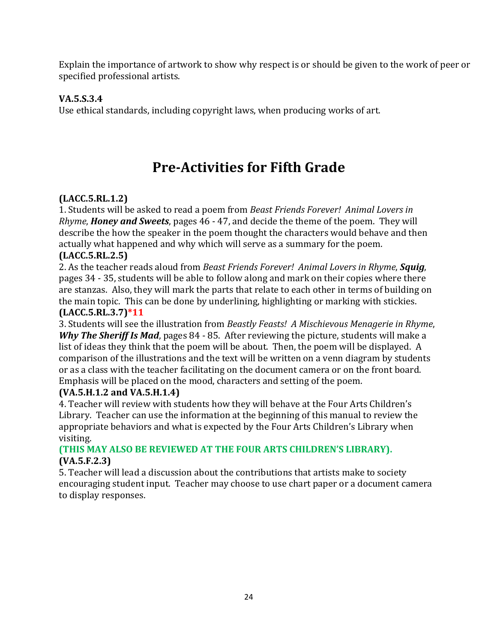Explain the importance of artwork to show why respect is or should be given to the work of peer or specified professional artists.

#### **VA.5.S.3.4**

Use ethical standards, including copyright laws, when producing works of art.

# **Pre-Activities for Fifth Grade**

#### **(LACC.5.RL.1.2)**

1. Students will be asked to read a poem from *Beast Friends Forever! Animal Lovers in Rhyme*, *Honey and Sweets*, pages 46 - 47, and decide the theme of the poem. They will describe the how the speaker in the poem thought the characters would behave and then actually what happened and why which will serve as a summary for the poem.

#### **(LACC.5.RL.2.5)**

2. As the teacher reads aloud from *Beast Friends Forever!* Animal Lovers in Rhyme, **Squig**, pages 34 - 35, students will be able to follow along and mark on their copies where there are stanzas. Also, they will mark the parts that relate to each other in terms of building on the main topic. This can be done by underlining, highlighting or marking with stickies. **(LACC.5.RL.3.7)\*11**

3. Students will see the illustration from *Beastly Feasts! A Mischievous Menagerie in Rhyme*, *Why The Sheriff Is Mad, pages 84 - 85. After reviewing the picture, students will make a* list of ideas they think that the poem will be about. Then, the poem will be displayed. A comparison of the illustrations and the text will be written on a venn diagram by students or as a class with the teacher facilitating on the document camera or on the front board. Emphasis will be placed on the mood, characters and setting of the poem.

#### **(VA.5.H.1.2 and VA.5.H.1.4)**

4. Teacher will review with students how they will behave at the Four Arts Children's Library. Teacher can use the information at the beginning of this manual to review the appropriate behaviors and what is expected by the Four Arts Children's Library when visiting.

#### **(THIS MAY ALSO BE REVIEWED AT THE FOUR ARTS CHILDREN'S LIBRARY). (VA.5.F.2.3)**

5. Teacher will lead a discussion about the contributions that artists make to society encouraging student input. Teacher may choose to use chart paper or a document camera to display responses.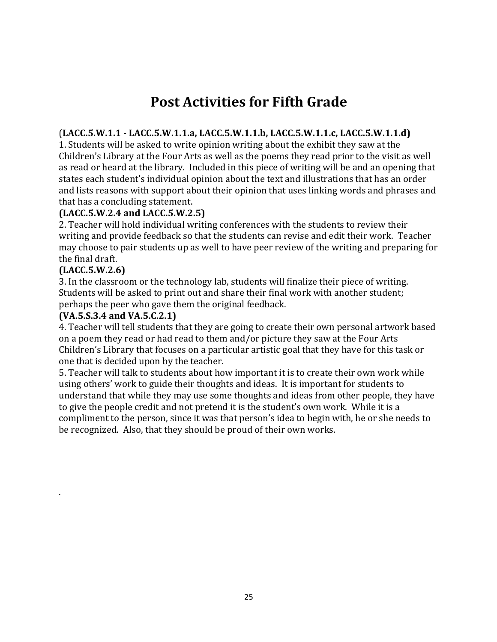# **Post Activities for Fifth Grade**

#### (**LACC.5.W.1.1 - LACC.5.W.1.1.a, LACC.5.W.1.1.b, LACC.5.W.1.1.c, LACC.5.W.1.1.d)**

1. Students will be asked to write opinion writing about the exhibit they saw at the Children's Library at the Four Arts as well as the poems they read prior to the visit as well as read or heard at the library. Included in this piece of writing will be and an opening that states each student's individual opinion about the text and illustrations that has an order and lists reasons with support about their opinion that uses linking words and phrases and that has a concluding statement.

#### **(LACC.5.W.2.4 and LACC.5.W.2.5)**

2. Teacher will hold individual writing conferences with the students to review their writing and provide feedback so that the students can revise and edit their work. Teacher may choose to pair students up as well to have peer review of the writing and preparing for the final draft.

#### **(LACC.5.W.2.6)**

. 

3. In the classroom or the technology lab, students will finalize their piece of writing. Students will be asked to print out and share their final work with another student; perhaps the peer who gave them the original feedback.

#### **(VA.5.S.3.4 and VA.5.C.2.1)**

4. Teacher will tell students that they are going to create their own personal artwork based on a poem they read or had read to them and/or picture they saw at the Four Arts Children's Library that focuses on a particular artistic goal that they have for this task or one that is decided upon by the teacher.

5. Teacher will talk to students about how important it is to create their own work while using others' work to guide their thoughts and ideas. It is important for students to understand that while they may use some thoughts and ideas from other people, they have to give the people credit and not pretend it is the student's own work. While it is a compliment to the person, since it was that person's idea to begin with, he or she needs to be recognized. Also, that they should be proud of their own works.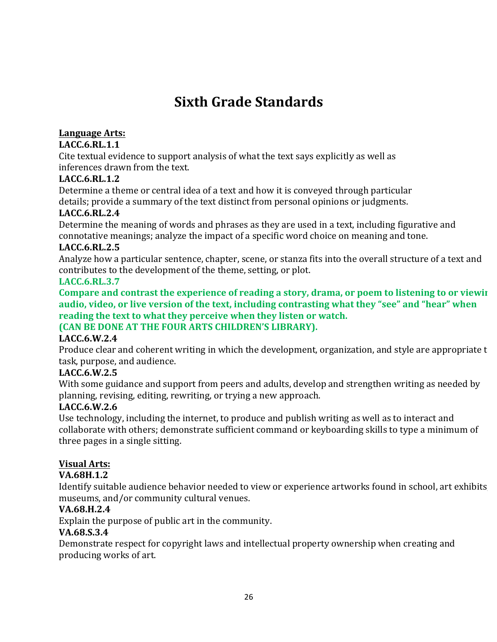# **Sixth Grade Standards**

#### Language Arts:

#### **LACC.6.RL.1.1**

Cite textual evidence to support analysis of what the text says explicitly as well as inferences drawn from the text.

#### **LACC.6.RL.1.2**

Determine a theme or central idea of a text and how it is conveyed through particular details; provide a summary of the text distinct from personal opinions or judgments.

#### **LACC.6.RL.2.4**

Determine the meaning of words and phrases as they are used in a text, including figurative and connotative meanings; analyze the impact of a specific word choice on meaning and tone.

#### **LACC.6.RL.2.5**

Analyze how a particular sentence, chapter, scene, or stanza fits into the overall structure of a text and contributes to the development of the theme, setting, or plot.

#### **LACC.6.RL.3.7**

Compare and contrast the experience of reading a story, drama, or poem to listening to or viewing audio, video, or live version of the text, including contrasting what they "see" and "hear" when reading the text to what they perceive when they listen or watch.

#### **(CAN BE DONE AT THE FOUR ARTS CHILDREN'S LIBRARY).**

#### **LACC.6.W.2.4**

Produce clear and coherent writing in which the development, organization, and style are appropriate t task, purpose, and audience.

#### **LACC.6.W.2.5**

With some guidance and support from peers and adults, develop and strengthen writing as needed by planning, revising, editing, rewriting, or trying a new approach.

#### **LACC.6.W.2.6**

Use technology, including the internet, to produce and publish writing as well as to interact and collaborate with others; demonstrate sufficient command or keyboarding skills to type a minimum of three pages in a single sitting.

#### **Visual Arts:**

#### **VA.68H.1.2**

Identify suitable audience behavior needed to view or experience artworks found in school, art exhibits museums, and/or community cultural venues.

#### **VA.68.H.2.4**

Explain the purpose of public art in the community.

#### **VA.68.S.3.4**

Demonstrate respect for copyright laws and intellectual property ownership when creating and producing works of art.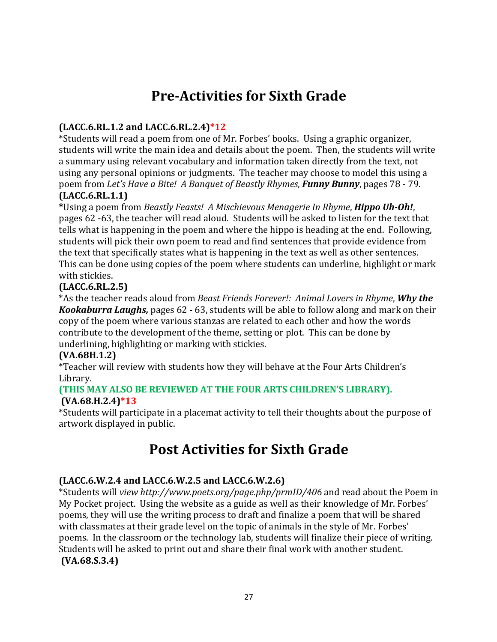# **Pre-Activities for Sixth Grade**

#### **(LACC.6.RL.1.2 and LACC.6.RL.2.4)\*12**

\*Students will read a poem from one of Mr. Forbes' books. Using a graphic organizer, students will write the main idea and details about the poem. Then, the students will write a summary using relevant vocabulary and information taken directly from the text, not using any personal opinions or judgments. The teacher may choose to model this using a poem from *Let's Have a Bite! A Banquet of Beastly Rhymes, Funny Bunny, pages 78 - 79.* 

#### **(LACC.6.RL.1.1)**

**\***Using a poem from *Beastly Feasts! A Mischievous Menagerie In Rhyme*, *Hippo Uh-Oh!*, pages 62 -63, the teacher will read aloud. Students will be asked to listen for the text that tells what is happening in the poem and where the hippo is heading at the end. Following, students will pick their own poem to read and find sentences that provide evidence from the text that specifically states what is happening in the text as well as other sentences. This can be done using copies of the poem where students can underline, highlight or mark with stickies.

#### **(LACC.6.RL.2.5)**

\*As the teacher reads aloud from *Beast Friends Forever!: Animal Lovers in Rhyme*, **Why the** *Kookaburra Laughs,* pages 62 - 63, students will be able to follow along and mark on their copy of the poem where various stanzas are related to each other and how the words contribute to the development of the theme, setting or plot. This can be done by underlining, highlighting or marking with stickies.

#### **(VA.68H.1.2)**

\*Teacher will review with students how they will behave at the Four Arts Children's Library. 

#### **(THIS MAY ALSO BE REVIEWED AT THE FOUR ARTS CHILDREN'S LIBRARY). (VA.68.H.2.4)\*13**

\*Students will participate in a placemat activity to tell their thoughts about the purpose of artwork displayed in public.

### **Post Activities for Sixth Grade**

#### **(LACC.6.W.2.4 and LACC.6.W.2.5 and LACC.6.W.2.6)**

\*Students will *view http://www.poets.org/page.php/prmID/406* and read about the Poem in My Pocket project. Using the website as a guide as well as their knowledge of Mr. Forbes' poems, they will use the writing process to draft and finalize a poem that will be shared with classmates at their grade level on the topic of animals in the style of Mr. Forbes' poems. In the classroom or the technology lab, students will finalize their piece of writing. Students will be asked to print out and share their final work with another student. **(VA.68.S.3.4)**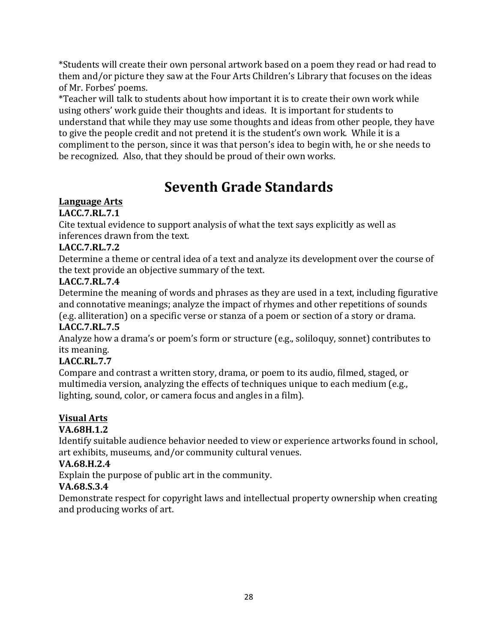\*Students will create their own personal artwork based on a poem they read or had read to them and/or picture they saw at the Four Arts Children's Library that focuses on the ideas of Mr. Forbes' poems.

\*Teacher will talk to students about how important it is to create their own work while using others' work guide their thoughts and ideas. It is important for students to understand that while they may use some thoughts and ideas from other people, they have to give the people credit and not pretend it is the student's own work. While it is a compliment to the person, since it was that person's idea to begin with, he or she needs to be recognized. Also, that they should be proud of their own works.

# **Seventh Grade Standards**

#### Language Arts

#### **LACC.7.RL.7.1**

Cite textual evidence to support analysis of what the text says explicitly as well as inferences drawn from the text.

#### **LACC.7.RL.7.2**

Determine a theme or central idea of a text and analyze its development over the course of the text provide an objective summary of the text.

#### **LACC.7.RL.7.4**

Determine the meaning of words and phrases as they are used in a text, including figurative and connotative meanings; analyze the impact of rhymes and other repetitions of sounds

(e.g. alliteration) on a specific verse or stanza of a poem or section of a story or drama. **LACC.7.RL.7.5**

Analyze how a drama's or poem's form or structure (e.g., soliloquy, sonnet) contributes to its meaning.

#### **LACC.RL.7.7**

Compare and contrast a written story, drama, or poem to its audio, filmed, staged, or multimedia version, analyzing the effects of techniques unique to each medium (e.g., lighting, sound, color, or camera focus and angles in a film).

#### **Visual Arts**

#### **VA.68H.1.2**

Identify suitable audience behavior needed to view or experience artworks found in school, art exhibits, museums, and/or community cultural venues.

#### **VA.68.H.2.4**

Explain the purpose of public art in the community.

#### **VA.68.S.3.4**

Demonstrate respect for copyright laws and intellectual property ownership when creating and producing works of art.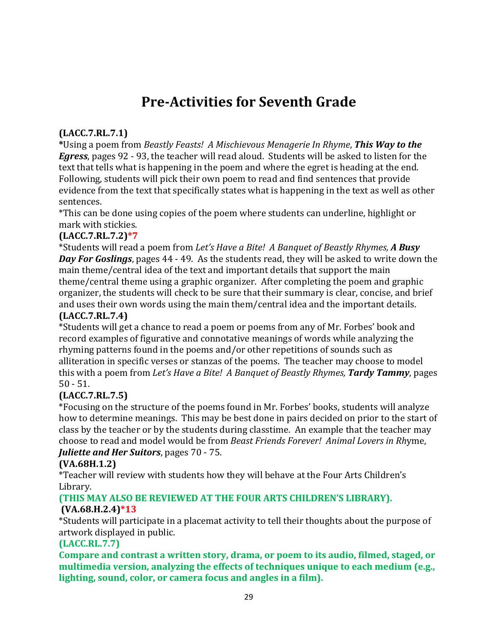# **Pre-Activities for Seventh Grade**

#### **(LACC.7.RL.7.1)**

\*Using a poem from *Beastly Feasts! A Mischievous Menagerie In Rhyme*, **This Way to the** *Egress*, pages 92 - 93, the teacher will read aloud. Students will be asked to listen for the text that tells what is happening in the poem and where the egret is heading at the end. Following, students will pick their own poem to read and find sentences that provide evidence from the text that specifically states what is happening in the text as well as other sentences. 

\*This can be done using copies of the poem where students can underline, highlight or mark with stickies.

#### **(LACC.7.RL.7.2)\*7**

\*Students will read a poem from *Let's Have a Bite! A Banquet of Beastly Rhymes, A Busy* **Day For Goslings**, pages 44 - 49. As the students read, they will be asked to write down the main theme/central idea of the text and important details that support the main theme/central theme using a graphic organizer. After completing the poem and graphic organizer, the students will check to be sure that their summary is clear, concise, and brief and uses their own words using the main them/central idea and the important details.

#### **(LACC.7.RL.7.4)**

\*Students will get a chance to read a poem or poems from any of Mr. Forbes' book and record examples of figurative and connotative meanings of words while analyzing the rhyming patterns found in the poems and/or other repetitions of sounds such as alliteration in specific verses or stanzas of the poems. The teacher may choose to model this with a poem from *Let's Have a Bite! A Banquet of Beastly Rhymes*, **Tardy Tammy**, pages 50 - 51.

#### **(LACC.7.RL.7.5)**

\*Focusing on the structure of the poems found in Mr. Forbes' books, students will analyze how to determine meanings. This may be best done in pairs decided on prior to the start of class by the teacher or by the students during classtime. An example that the teacher may choose to read and model would be from *Beast Friends Forever! Animal Lovers in Rhyme*, *Juliette and Her Suitors*, pages 70 - 75.

#### **(VA.68H.1.2)**

\*Teacher will review with students how they will behave at the Four Arts Children's Library. 

#### **(THIS MAY ALSO BE REVIEWED AT THE FOUR ARTS CHILDREN'S LIBRARY). (VA.68.H.2.4)\*13**

\*Students will participate in a placemat activity to tell their thoughts about the purpose of artwork displayed in public.

#### **(LACC.RL.7.7)**

Compare and contrast a written story, drama, or poem to its audio, filmed, staged, or multimedia version, analyzing the effects of techniques unique to each medium (e.g., **lighting, sound, color, or camera focus and angles in a film).**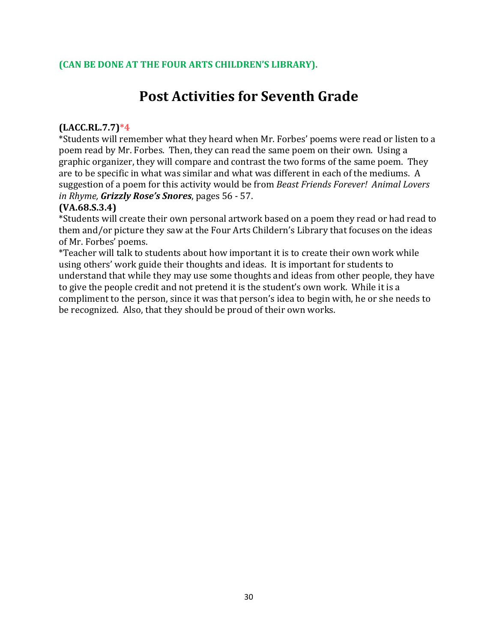## **Post Activities for Seventh Grade**

#### **(LACC.RL.7.7)\*4**

\*Students will remember what they heard when Mr. Forbes' poems were read or listen to a poem read by Mr. Forbes. Then, they can read the same poem on their own. Using a graphic organizer, they will compare and contrast the two forms of the same poem. They are to be specific in what was similar and what was different in each of the mediums. A suggestion of a poem for this activity would be from *Beast Friends Forever! Animal Lovers in Rhyme, Grizzly Rose's Snores*, pages 56 - 57.

#### **(VA.68.S.3.4)**

\*Students will create their own personal artwork based on a poem they read or had read to them and/or picture they saw at the Four Arts Childern's Library that focuses on the ideas of Mr. Forbes' poems.

\*Teacher will talk to students about how important it is to create their own work while using others' work guide their thoughts and ideas. It is important for students to understand that while they may use some thoughts and ideas from other people, they have to give the people credit and not pretend it is the student's own work. While it is a compliment to the person, since it was that person's idea to begin with, he or she needs to be recognized. Also, that they should be proud of their own works.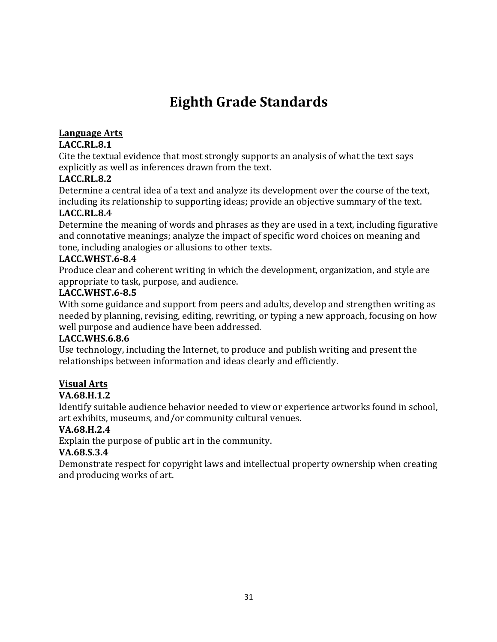# **Eighth Grade Standards**

#### **Language Arts**

#### **LACC.RL.8.1**

Cite the textual evidence that most strongly supports an analysis of what the text says explicitly as well as inferences drawn from the text.

#### **LACC.RL.8.2**

Determine a central idea of a text and analyze its development over the course of the text, including its relationship to supporting ideas; provide an objective summary of the text.

#### **LACC.RL.8.4**

Determine the meaning of words and phrases as they are used in a text, including figurative and connotative meanings; analyze the impact of specific word choices on meaning and tone, including analogies or allusions to other texts.

#### **LACC.WHST.6-8.4**

Produce clear and coherent writing in which the development, organization, and style are appropriate to task, purpose, and audience.

#### **LACC.WHST.6-8.5**

With some guidance and support from peers and adults, develop and strengthen writing as needed by planning, revising, editing, rewriting, or typing a new approach, focusing on how well purpose and audience have been addressed.

#### **LACC.WHS.6.8.6**

Use technology, including the Internet, to produce and publish writing and present the relationships between information and ideas clearly and efficiently.

#### **Visual Arts**

#### **VA.68.H.1.2**

Identify suitable audience behavior needed to view or experience artworks found in school, art exhibits, museums, and/or community cultural venues.

#### **VA.68.H.2.4**

Explain the purpose of public art in the community.

#### **VA.68.S.3.4**

Demonstrate respect for copyright laws and intellectual property ownership when creating and producing works of art.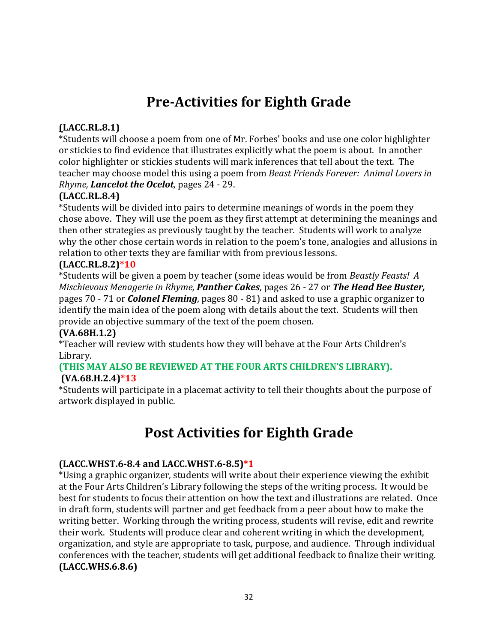# **Pre-Activities for Eighth Grade**

#### **(LACC.RL.8.1)**

\*Students will choose a poem from one of Mr. Forbes' books and use one color highlighter or stickies to find evidence that illustrates explicitly what the poem is about. In another color highlighter or stickies students will mark inferences that tell about the text. The teacher may choose model this using a poem from *Beast Friends Forever: Animal Lovers in Rhyme, Lancelot the Ocelot, pages 24 - 29.* 

#### **(LACC.RL.8.4)**

\*Students will be divided into pairs to determine meanings of words in the poem they chose above. They will use the poem as they first attempt at determining the meanings and then other strategies as previously taught by the teacher. Students will work to analyze why the other chose certain words in relation to the poem's tone, analogies and allusions in relation to other texts they are familiar with from previous lessons.

#### **(LACC.RL.8.2)\*10**

\*Students will be given a poem by teacher (some ideas would be from *Beastly Feasts! A Mischievous Menagerie in Rhyme, Panther Cakes, pages* 26 - 27 or *The Head Bee Buster*, pages 70 - 71 or *Colonel Fleming*, pages 80 - 81) and asked to use a graphic organizer to identify the main idea of the poem along with details about the text. Students will then provide an objective summary of the text of the poem chosen.

#### **(VA.68H.1.2)**

\*Teacher will review with students how they will behave at the Four Arts Children's Library. 

#### **(THIS MAY ALSO BE REVIEWED AT THE FOUR ARTS CHILDREN'S LIBRARY). (VA.68.H.2.4)\*13**

\*Students will participate in a placemat activity to tell their thoughts about the purpose of artwork displayed in public.

# **Post Activities for Eighth Grade**

#### **(LACC.WHST.6-8.4 and LACC.WHST.6-8.5)\*1**

\*Using a graphic organizer, students will write about their experience viewing the exhibit at the Four Arts Children's Library following the steps of the writing process. It would be best for students to focus their attention on how the text and illustrations are related. Once in draft form, students will partner and get feedback from a peer about how to make the writing better. Working through the writing process, students will revise, edit and rewrite their work. Students will produce clear and coherent writing in which the development, organization, and style are appropriate to task, purpose, and audience. Through individual conferences with the teacher, students will get additional feedback to finalize their writing. **(LACC.WHS.6.8.6)**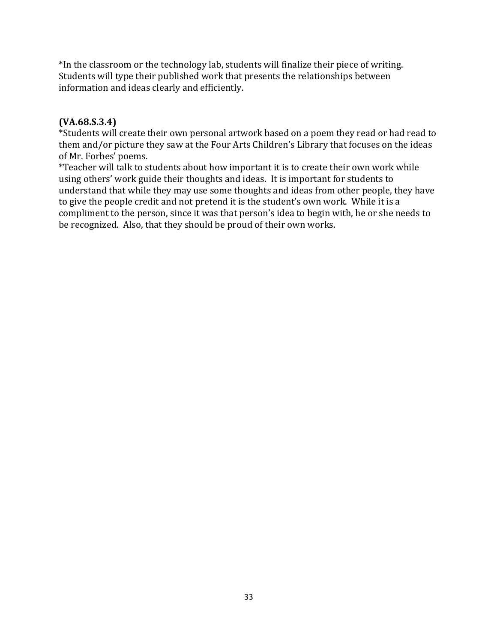\*In the classroom or the technology lab, students will finalize their piece of writing. Students will type their published work that presents the relationships between information and ideas clearly and efficiently.

#### **(VA.68.S.3.4)**

\*Students will create their own personal artwork based on a poem they read or had read to them and/or picture they saw at the Four Arts Children's Library that focuses on the ideas of Mr. Forbes' poems.

\*Teacher will talk to students about how important it is to create their own work while using others' work guide their thoughts and ideas. It is important for students to understand that while they may use some thoughts and ideas from other people, they have to give the people credit and not pretend it is the student's own work. While it is a compliment to the person, since it was that person's idea to begin with, he or she needs to be recognized. Also, that they should be proud of their own works.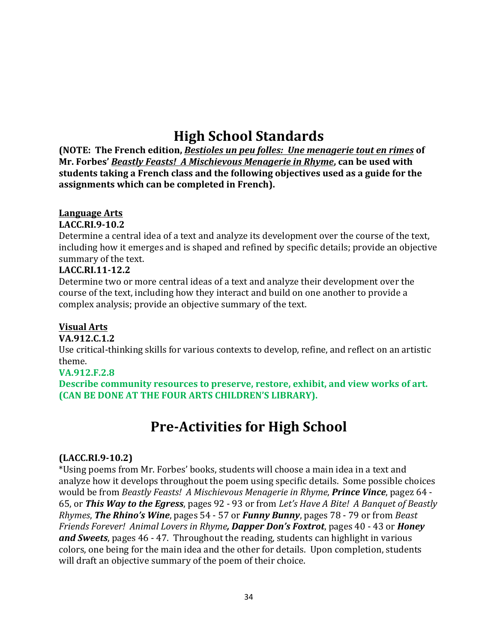# **High School Standards**

**(NOTE:** The French edition, *Bestioles un peu folles: Une menagerie tout en rimes* of **Mr.** Forbes' *Beastly Feasts! A Mischievous Menagerie in Rhyme*, can be used with students taking a French class and the following objectives used as a guide for the **assignments which can be completed in French).**

#### **Language Arts**

#### **LACC.RI.9-10.2**

Determine a central idea of a text and analyze its development over the course of the text, including how it emerges and is shaped and refined by specific details; provide an objective summary of the text.

#### **LACC.RI.11-12.2**

Determine two or more central ideas of a text and analyze their development over the course of the text, including how they interact and build on one another to provide a complex analysis; provide an objective summary of the text.

#### **Visual Arts**

#### **VA.912.C.1.2**

Use critical-thinking skills for various contexts to develop, refine, and reflect on an artistic theme.

#### **VA.912.F.2.8**

**Describe community resources to preserve, restore, exhibit, and view works of art. (CAN BE DONE AT THE FOUR ARTS CHILDREN'S LIBRARY).** 

### **Pre-Activities for High School**

#### **(LACC.RI.9-10.2)**

\*Using poems from Mr. Forbes' books, students will choose a main idea in a text and analyze how it develops throughout the poem using specific details. Some possible choices would be from *Beastly Feasts! A Mischievous Menagerie in Rhyme*, **Prince Vince**, pagez 64 -65, or **This Way to the Egress**, pages 92 - 93 or from Let's Have A Bite! A Banquet of Beastly *Rhymes*, **The Rhino's Wine**, pages 54 - 57 or *Funny Bunny*, pages 78 - 79 or from *Beast Friends Forever! Animal Lovers in Rhyme, Dapper Don's Foxtrot, pages 40 - 43 or Honey* **and Sweets**, pages 46 - 47. Throughout the reading, students can highlight in various colors, one being for the main idea and the other for details. Upon completion, students will draft an objective summary of the poem of their choice.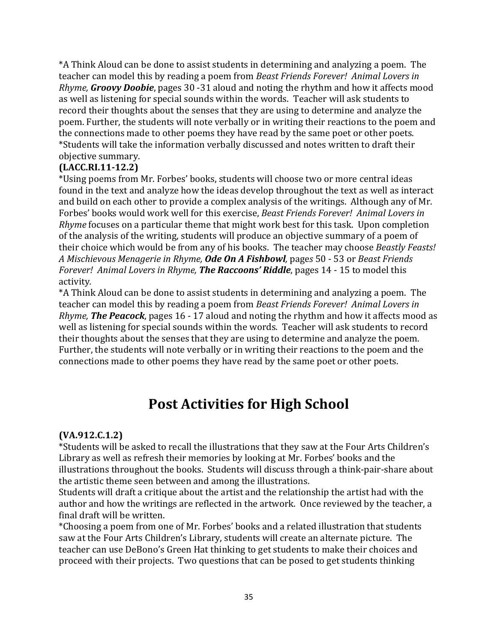\*A Think Aloud can be done to assist students in determining and analyzing a poem. The teacher can model this by reading a poem from *Beast Friends Forever! Animal Lovers in Rhyme, Groovy Doobie*, pages 30 -31 aloud and noting the rhythm and how it affects mood as well as listening for special sounds within the words. Teacher will ask students to record their thoughts about the senses that they are using to determine and analyze the poem. Further, the students will note verbally or in writing their reactions to the poem and the connections made to other poems they have read by the same poet or other poets. \*Students will take the information verbally discussed and notes written to draft their objective summary.

#### **(LACC.RI.11-12.2)**

\*Using poems from Mr. Forbes' books, students will choose two or more central ideas found in the text and analyze how the ideas develop throughout the text as well as interact and build on each other to provide a complex analysis of the writings. Although any of Mr. Forbes' books would work well for this exercise, *Beast Friends Forever! Animal Lovers in Rhyme* focuses on a particular theme that might work best for this task. Upon completion of the analysis of the writing, students will produce an objective summary of a poem of their choice which would be from any of his books. The teacher may choose *Beastly Feasts!* A Mischievous Menagerie in Rhyme, **Ode On A Fishbowl**, pages 50 - 53 or *Beast Friends Forever! Animal Lovers in Rhyme, The Raccoons' Riddle, pages 14 - 15 to model this* activity*.*

\*A Think Aloud can be done to assist students in determining and analyzing a poem. The teacher can model this by reading a poem from *Beast Friends Forever! Animal Lovers in Rhyme, The Peacock*, pages 16 - 17 aloud and noting the rhythm and how it affects mood as well as listening for special sounds within the words. Teacher will ask students to record their thoughts about the senses that they are using to determine and analyze the poem. Further, the students will note verbally or in writing their reactions to the poem and the connections made to other poems they have read by the same poet or other poets.

# **Post Activities for High School**

#### **(VA.912.C.1.2)**

\*Students will be asked to recall the illustrations that they saw at the Four Arts Children's Library as well as refresh their memories by looking at Mr. Forbes' books and the illustrations throughout the books. Students will discuss through a think-pair-share about the artistic theme seen between and among the illustrations.

Students will draft a critique about the artist and the relationship the artist had with the author and how the writings are reflected in the artwork. Once reviewed by the teacher, a final draft will be written.

\*Choosing a poem from one of Mr. Forbes' books and a related illustration that students saw at the Four Arts Children's Library, students will create an alternate picture. The teacher can use DeBono's Green Hat thinking to get students to make their choices and proceed with their projects. Two questions that can be posed to get students thinking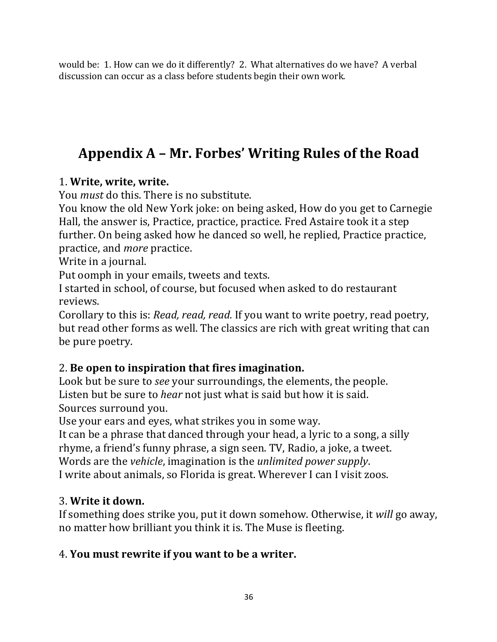would be: 1. How can we do it differently? 2. What alternatives do we have? A verbal discussion can occur as a class before students begin their own work.

# **Appendix A – Mr. Forbes' Writing Rules of the Road**

### 1. **Write, write, write.**

You *must* do this. There is no substitute.

You know the old New York joke: on being asked, How do you get to Carnegie Hall, the answer is, Practice, practice, practice. Fred Astaire took it a step further. On being asked how he danced so well, he replied, Practice practice, practice, and *more* practice.

Write in a journal.

Put oomph in your emails, tweets and texts.

I started in school, of course, but focused when asked to do restaurant reviews. 

Corollary to this is: *Read, read, read.* If you want to write poetry, read poetry, but read other forms as well. The classics are rich with great writing that can be pure poetry.

### 2. **Be open to inspiration that fires imagination.**

Look but be sure to *see* your surroundings, the elements, the people. Listen but be sure to *hear* not just what is said but how it is said. Sources surround you.

Use your ears and eyes, what strikes you in some way.

It can be a phrase that danced through your head, a lyric to a song, a silly rhyme, a friend's funny phrase, a sign seen. TV, Radio, a joke, a tweet. Words are the *vehicle*, imagination is the *unlimited power supply*. I write about animals, so Florida is great. Wherever I can I visit zoos.

### 3. **Write it down.**

If something does strike you, put it down somehow. Otherwise, it *will* go away, no matter how brilliant you think it is. The Muse is fleeting.

### 4. You must rewrite if you want to be a writer.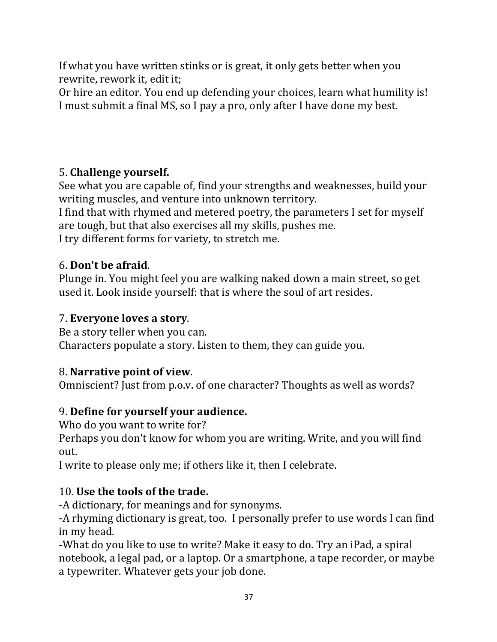If what you have written stinks or is great, it only gets better when you rewrite, rework it, edit it;

Or hire an editor. You end up defending your choices, learn what humility is! I must submit a final MS, so I pay a pro, only after I have done my best.

### 5. **Challenge yourself.**

See what you are capable of, find your strengths and weaknesses, build your writing muscles, and venture into unknown territory.

I find that with rhymed and metered poetry, the parameters I set for myself are tough, but that also exercises all my skills, pushes me.

I try different forms for variety, to stretch me.

### 6. **Don't be afraid**.

Plunge in. You might feel you are walking naked down a main street, so get used it. Look inside yourself: that is where the soul of art resides.

### 7. **Everyone loves a story**.

Be a story teller when you can. Characters populate a story. Listen to them, they can guide you.

### 8. **Narrative point of view**.

Omniscient? Just from p.o.v. of one character? Thoughts as well as words?

### 9. **Define for yourself your audience.**

Who do you want to write for?

Perhaps you don't know for whom you are writing. Write, and you will find out. 

I write to please only me; if others like it, then I celebrate.

### 10. Use the tools of the trade.

-A dictionary, for meanings and for synonyms.

-A rhyming dictionary is great, too. I personally prefer to use words I can find in my head.

-What do you like to use to write? Make it easy to do. Try an iPad, a spiral notebook, a legal pad, or a laptop. Or a smartphone, a tape recorder, or maybe a typewriter. Whatever gets your job done.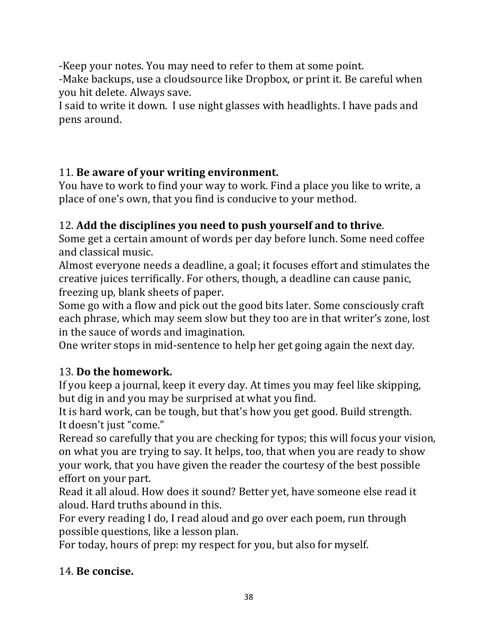-Keep your notes. You may need to refer to them at some point.

-Make backups, use a cloudsource like Dropbox, or print it. Be careful when you hit delete. Always save.

I said to write it down. I use night glasses with headlights. I have pads and pens around. 

### 11. Be aware of your writing environment.

You have to work to find your way to work. Find a place you like to write, a place of one's own, that you find is conducive to your method.

### 12. Add the disciplines you need to push yourself and to thrive.

Some get a certain amount of words per day before lunch. Some need coffee and classical music.

Almost everyone needs a deadline, a goal; it focuses effort and stimulates the creative juices terrifically. For others, though, a deadline can cause panic, freezing up, blank sheets of paper.

Some go with a flow and pick out the good bits later. Some consciously craft each phrase, which may seem slow but they too are in that writer's zone, lost in the sauce of words and imagination.

One writer stops in mid-sentence to help her get going again the next day.

### 13. Do the homework.

If you keep a journal, keep it every day. At times you may feel like skipping, but dig in and you may be surprised at what you find.

It is hard work, can be tough, but that's how you get good. Build strength. It doesn't just "come."

Reread so carefully that you are checking for typos; this will focus your vision, on what you are trying to say. It helps, too, that when you are ready to show your work, that you have given the reader the courtesy of the best possible effort on your part.

Read it all aloud. How does it sound? Better yet, have someone else read it aloud. Hard truths abound in this.

For every reading I do, I read aloud and go over each poem, run through possible questions, like a lesson plan.

For today, hours of prep: my respect for you, but also for myself.

### 14. **Be concise.**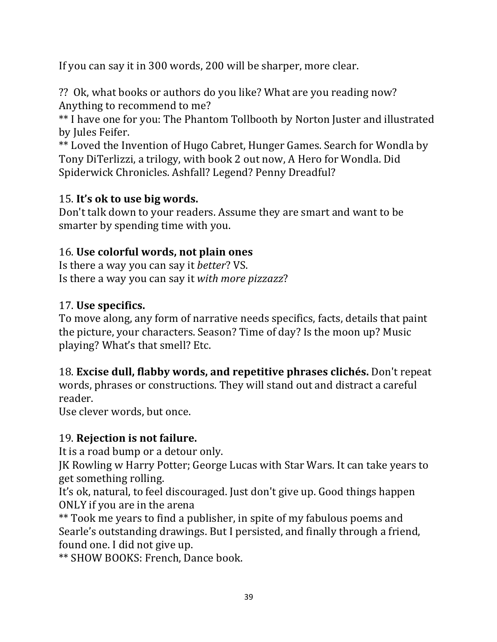If you can say it in 300 words, 200 will be sharper, more clear.

?? Ok, what books or authors do you like? What are you reading now? Anything to recommend to me?

\*\* I have one for you: The Phantom Tollbooth by Norton Juster and illustrated by Jules Feifer.

\*\* Loved the Invention of Hugo Cabret, Hunger Games. Search for Wondla by Tony DiTerlizzi, a trilogy, with book 2 out now, A Hero for Wondla. Did Spiderwick Chronicles. Ashfall? Legend? Penny Dreadful?

### 15. **It's ok to use big words.**

Don't talk down to your readers. Assume they are smart and want to be smarter by spending time with you.

### 16. Use colorful words, not plain ones

Is there a way you can say it *better*? VS. Is there a way you can say it *with more pizzazz*?

### 17. **Use specifics.**

To move along, any form of narrative needs specifics, facts, details that paint the picture, your characters. Season? Time of day? Is the moon up? Music playing? What's that smell? Etc.

18. **Excise dull, flabby words, and repetitive phrases clichés.** Don't repeat words, phrases or constructions. They will stand out and distract a careful reader. 

Use clever words, but once.

### 19. **Rejection is not failure.**

It is a road bump or a detour only.

IK Rowling w Harry Potter; George Lucas with Star Wars. It can take years to get something rolling.

It's ok, natural, to feel discouraged. Just don't give up. Good things happen ONLY if you are in the arena

\*\* Took me years to find a publisher, in spite of my fabulous poems and Searle's outstanding drawings. But I persisted, and finally through a friend, found one. I did not give up.

\*\* SHOW BOOKS: French, Dance book.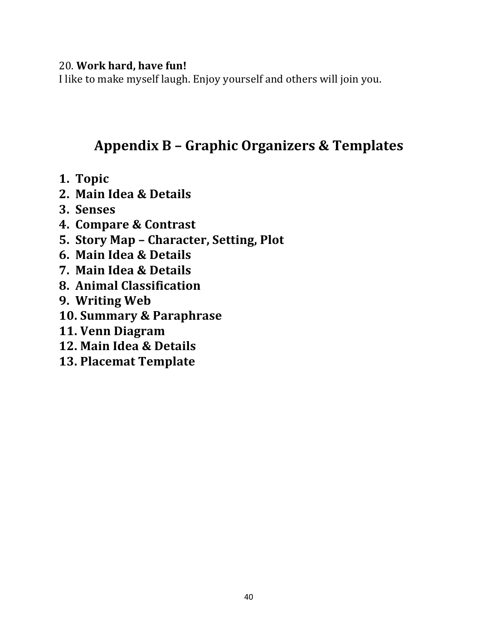#### 20. Work hard, have fun!

I like to make myself laugh. Enjoy yourself and others will join you.

### **Appendix B – Graphic Organizers & Templates**

- **1. Topic**
- **2. Main Idea & Details**
- **3. Senses**
- **4. Compare & Contrast**
- **5. Story Map – Character, Setting, Plot**
- **6. Main Idea & Details**
- **7. Main Idea & Details**
- **8. Animal Classification**
- **9.** Writing Web
- **10. Summary & Paraphrase**
- **11. Venn Diagram**
- **12. Main Idea & Details**
- **13. Placemat Template**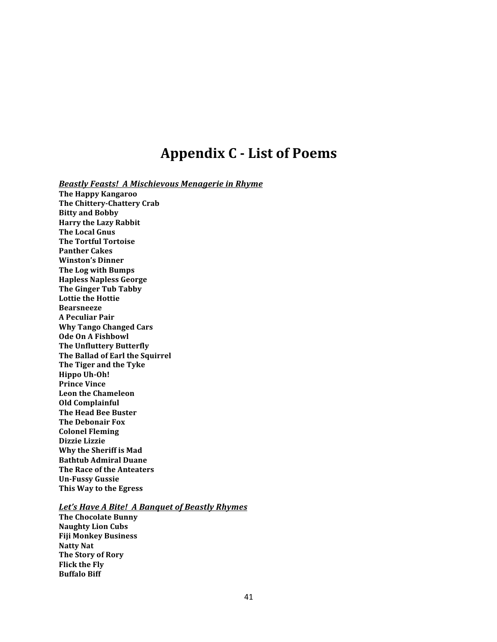### **Appendix C - List of Poems**

**Beastly Feasts! A Mischievous Menagerie in Rhyme** 

**The Happy Kangaroo The Chittery-Chattery Crab Bitty and Bobby Harry the Lazy Rabbit The Local Gnus The Tortful Tortoise Panther Cakes Winston's Dinner The Log with Bumps Hapless Napless George The Ginger Tub Tabby Lottie the Hottie Bearsneeze A Peculiar Pair Why Tango Changed Cars Ode On A Fishbowl The Unfluttery Butterfly The Ballad of Earl the Squirrel The Tiger and the Tyke Hippo Uh-Oh! Prince Vince Leon the Chameleon Old Complainful The Head Bee Buster The Debonair Fox Colonel Fleming Dizzie Lizzie Why the Sheriff is Mad Bathtub Admiral Duane The Race of the Anteaters Un-Fussy Gussie This Way to the Egress** 

#### Let's Have A Bite! A Banquet of Beastly Rhymes

**The Chocolate Bunny Naughty Lion Cubs Fiji Monkey Business Natty Nat The Story of Rory Flick the Fly Buffalo Biff**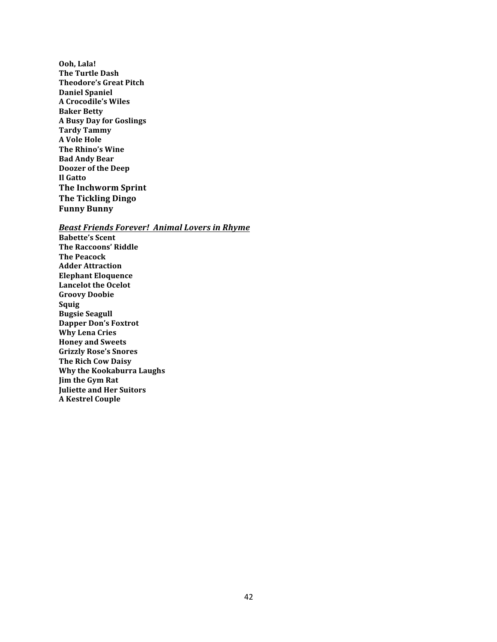**Ooh, Lala! The Turtle Dash Theodore's Great Pitch Daniel Spaniel A Crocodile's Wiles Baker Betty A Busy Day for Goslings Tardy Tammy A Vole Hole The Rhino's Wine Bad Andy Bear Doozer of the Deep Il Gatto The Inchworm Sprint The Tickling Dingo Funny Bunny**

**Beast Friends Forever! Animal Lovers in Rhyme Babette's Scent The Raccoons' Riddle The Peacock Adder Attraction Elephant Eloquence** Lancelot the Ocelot **Groovy Doobie Squig Bugsie Seagull Dapper Don's Foxtrot Why Lena Cries Honey and Sweets Grizzly Rose's Snores The Rich Cow Daisy Why the Kookaburra Laughs Jim the Gym Rat Juliette and Her Suitors A Kestrel Couple**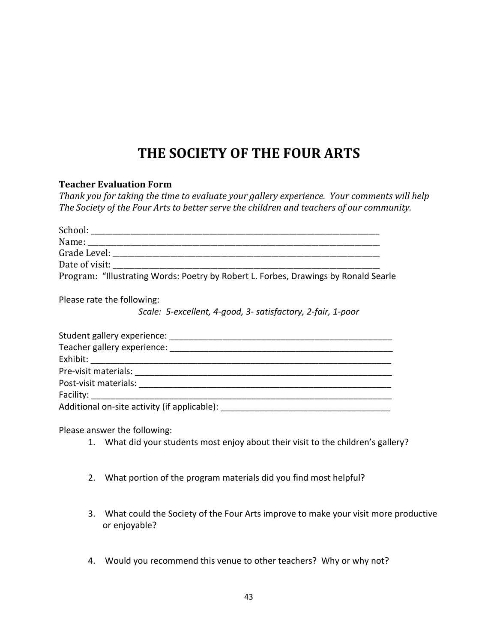### THE SOCIETY OF THE FOUR ARTS

#### **Teacher Evaluation Form**

Thank you for taking the time to evaluate your gallery experience. Your comments will help The Society of the Four Arts to better serve the children and teachers of our community.

| School: _______                                                                     |
|-------------------------------------------------------------------------------------|
|                                                                                     |
| Grade Level:                                                                        |
| Date of visit:                                                                      |
| Program: "Illustrating Words: Poetry by Robert L. Forbes, Drawings by Ronald Searle |
| Please rate the following:                                                          |
| Scale: 5-excellent, 4-good, 3- satisfactory, 2-fair, 1-poor                         |
| Student gallery experience:                                                         |
| Teacher gallery experience:                                                         |
| Exhibit:                                                                            |

Pre-visit materials: \_\_\_\_\_\_\_\_\_\_\_\_\_\_\_\_\_\_\_\_\_\_\_\_\_\_\_\_\_\_\_\_\_\_\_\_\_\_\_\_\_\_\_\_\_\_\_\_\_\_\_\_\_ Post-visit materials: Facility: \_\_\_\_\_\_\_\_\_\_\_\_\_\_\_\_\_\_\_\_\_\_\_\_\_\_\_\_\_\_\_\_\_\_\_\_\_\_\_\_\_\_\_\_\_\_\_\_\_\_\_\_\_\_\_\_\_\_\_\_\_\_

Additional on-site activity (if applicable):

Please answer the following:

- 1. What did your students most enjoy about their visit to the children's gallery?
- 2. What portion of the program materials did you find most helpful?
- 3. What could the Society of the Four Arts improve to make your visit more productive or enjoyable?
- 4. Would you recommend this venue to other teachers? Why or why not?